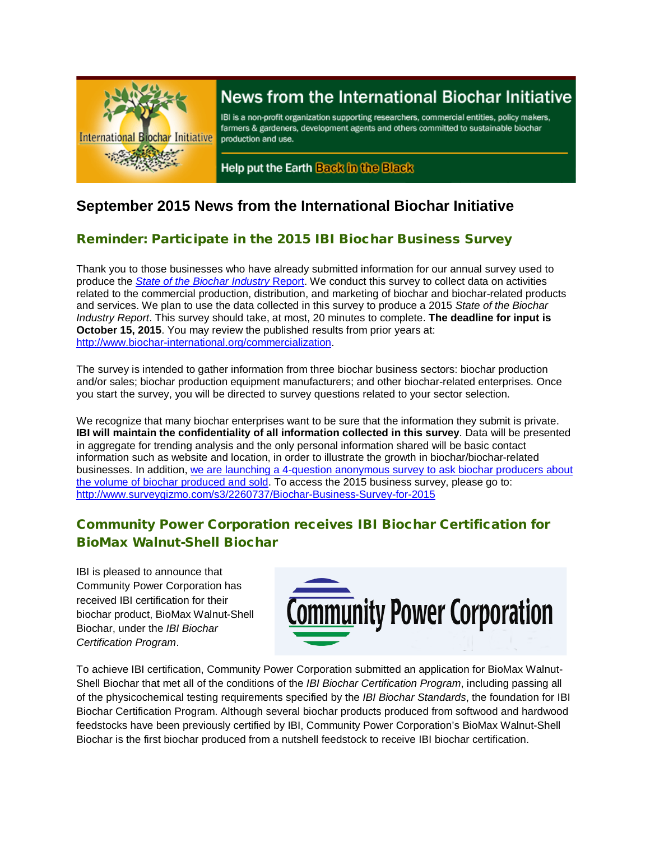

# News from the International Biochar Initiative

IBI is a non-profit organization supporting researchers, commercial entities, policy makers, farmers & gardeners, development agents and others committed to sustainable biochar production and use.

Help put the Earth Back in the Black

# **September 2015 News from the International Biochar Initiative**

# Reminder: Participate in the 2015 IBI Biochar Business Survey

Thank you to those businesses who have already submitted information for our annual survey used to produce the *[State of the Biochar Industry](http://www.surveygizmo.com/s3/2260737/Biochar-Business-Survey-for-2015)* Report. We conduct this survey to collect data on activities related to the commercial production, distribution, and marketing of biochar and biochar-related products and services. We plan to use the data collected in this survey to produce a 2015 *State of the Biochar Industry Report*. This survey should take, at most, 20 minutes to complete. **The deadline for input is October 15, 2015**. You may review the published results from prior years at: [http://www.biochar-international.org/commercialization.](http://www.biochar-international.org/commercialization)

The survey is intended to gather information from three biochar business sectors: biochar production and/or sales; biochar production equipment manufacturers; and other biochar-related enterprises. Once you start the survey, you will be directed to survey questions related to your sector selection.

We recognize that many biochar enterprises want to be sure that the information they submit is private. **IBI will maintain the confidentiality of all information collected in this survey**. Data will be presented in aggregate for trending analysis and the only personal information shared will be basic contact information such as website and location, in order to illustrate the growth in biochar/biochar-related businesses. In addition, [we are launching a 4-question anonymous survey to ask biochar producers about](http://www.surveygizmo.com/s3/2264439/Biochar-sales-volume-anonymous)  [the volume of biochar produced and sold.](http://www.surveygizmo.com/s3/2264439/Biochar-sales-volume-anonymous) To access the 2015 business survey, please go to: <http://www.surveygizmo.com/s3/2260737/Biochar-Business-Survey-for-2015>

# Community Power Corporation receives IBI Biochar Certification for BioMax Walnut-Shell Biochar

IBI is pleased to announce that Community Power Corporation has received IBI certification for their biochar product, BioMax Walnut-Shell Biochar, under the *IBI Biochar Certification Program*.



To achieve IBI certification, Community Power Corporation submitted an application for BioMax Walnut-Shell Biochar that met all of the conditions of the *IBI Biochar Certification Program*, including passing all of the physicochemical testing requirements specified by the *IBI Biochar Standards*, the foundation for IBI Biochar Certification Program. Although several biochar products produced from softwood and hardwood feedstocks have been previously certified by IBI, Community Power Corporation's BioMax Walnut-Shell Biochar is the first biochar produced from a nutshell feedstock to receive IBI biochar certification.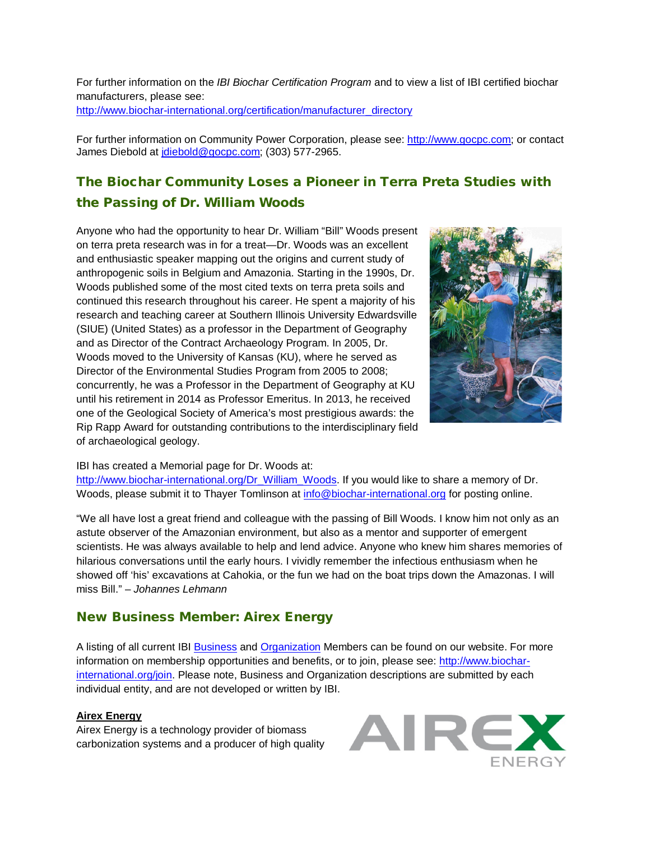For further information on the *IBI Biochar Certification Program* and to view a list of IBI certified biochar manufacturers, please see: [http://www.biochar-international.org/certification/manufacturer\\_directory](http://www.biochar-international.org/certification/manufacturer_directory)

For further information on Community Power Corporation, please see: [http://www.gocpc.com;](http://www.gocpc.com/) or contact James Diebold at [jdiebold@gocpc.com;](mailto:jdiebold@gocpc.com) (303) 577-2965.

# The Biochar Community Loses a Pioneer in Terra Preta Studies with the Passing of Dr. William Woods

Anyone who had the opportunity to hear Dr. William "Bill" Woods present on terra preta research was in for a treat—Dr. Woods was an excellent and enthusiastic speaker mapping out the origins and current study of anthropogenic soils in Belgium and Amazonia. Starting in the 1990s, Dr. Woods published some of the most cited texts on terra preta soils and continued this research throughout his career. He spent a majority of his research and teaching career at Southern Illinois University Edwardsville (SIUE) (United States) as a professor in the Department of Geography and as Director of the Contract Archaeology Program. In 2005, Dr. Woods moved to the University of Kansas (KU), where he served as Director of the Environmental Studies Program from 2005 to 2008; concurrently, he was a Professor in the Department of Geography at KU until his retirement in 2014 as Professor Emeritus. In 2013, he received one of the Geological Society of America's most prestigious awards: the Rip Rapp Award for outstanding contributions to the interdisciplinary field of archaeological geology.



#### IBI has created a Memorial page for Dr. Woods at:

[http://www.biochar-international.org/Dr\\_William\\_Woods.](http://www.biochar-international.org/Dr_William_Woods) If you would like to share a memory of Dr. Woods, please submit it to Thayer Tomlinson at [info@biochar-international.org](mailto:info@biochar-international.org) for posting online.

"We all have lost a great friend and colleague with the passing of Bill Woods. I know him not only as an astute observer of the Amazonian environment, but also as a mentor and supporter of emergent scientists. He was always available to help and lend advice. Anyone who knew him shares memories of hilarious conversations until the early hours. I vividly remember the infectious enthusiasm when he showed off 'his' excavations at Cahokia, or the fun we had on the boat trips down the Amazonas. I will miss Bill." – *Johannes Lehmann*

### New Business Member: Airex Energy

A listing of all current IBI [Business](http://ibi.memberclicks.net/message/urlRedir?id=61092&recip=2037fe9e-203a-4b7f-af3c-ac8774c71cbd) and [Organization](http://ibi.memberclicks.net/message/urlRedir?id=61093&recip=2037fe9e-203a-4b7f-af3c-ac8774c71cbd) Members can be found on our website. For more information on membership opportunities and benefits, or to join, please see: [http://www.biochar](http://ibi.memberclicks.net/message/urlRedir?id=61094&recip=2037fe9e-203a-4b7f-af3c-ac8774c71cbd)[international.org/join.](http://ibi.memberclicks.net/message/urlRedir?id=61094&recip=2037fe9e-203a-4b7f-af3c-ac8774c71cbd) Please note, Business and Organization descriptions are submitted by each individual entity, and are not developed or written by IBI.

#### **Airex Energy**

Airex Energy is a technology provider of biomass carbonization systems and a producer of high quality

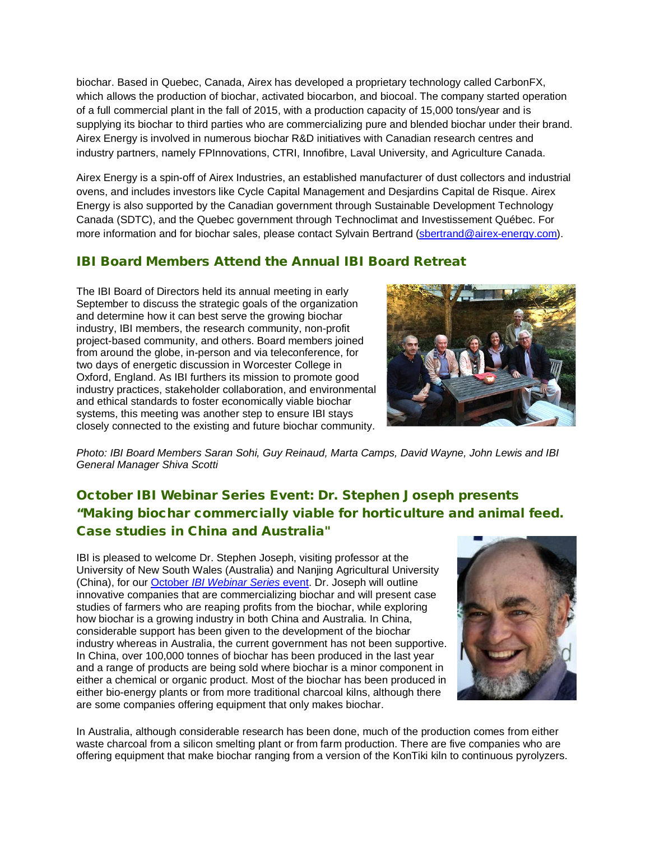biochar. Based in Quebec, Canada, Airex has developed a proprietary technology called CarbonFX, which allows the production of biochar, activated biocarbon, and biocoal. The company started operation of a full commercial plant in the fall of 2015, with a production capacity of 15,000 tons/year and is supplying its biochar to third parties who are commercializing pure and blended biochar under their brand. Airex Energy is involved in numerous biochar R&D initiatives with Canadian research centres and industry partners, namely FPInnovations, CTRI, Innofibre, Laval University, and Agriculture Canada.

Airex Energy is a spin-off of Airex Industries, an established manufacturer of dust collectors and industrial ovens, and includes investors like Cycle Capital Management and Desjardins Capital de Risque. Airex Energy is also supported by the Canadian government through Sustainable Development Technology Canada (SDTC), and the Quebec government through Technoclimat and Investissement Québec. For more information and for biochar sales, please contact Sylvain Bertrand [\(sbertrand@airex-energy.com\)](mailto:sbertrand@airex-energy.com).

### IBI Board Members Attend the Annual IBI Board Retreat

The IBI Board of Directors held its annual meeting in early September to discuss the strategic goals of the organization and determine how it can best serve the growing biochar industry, IBI members, the research community, non-profit project-based community, and others. Board members joined from around the globe, in-person and via teleconference, for two days of energetic discussion in Worcester College in Oxford, England. As IBI furthers its mission to promote good industry practices, stakeholder collaboration, and environmental and ethical standards to foster economically viable biochar systems, this meeting was another step to ensure IBI stays closely connected to the existing and future biochar community.



*Photo: IBI Board Members Saran Sohi, Guy Reinaud, Marta Camps, David Wayne, John Lewis and IBI General Manager Shiva Scotti*

# October IBI Webinar Series Event: Dr. Stephen Joseph presents "Making biochar commercially viable for horticulture and animal feed. Case studies in China and Australia"

IBI is pleased to welcome Dr. Stephen Joseph, visiting professor at the University of New South Wales (Australia) and Nanjing Agricultural University (China), for our October *[IBI Webinar Series](http://attendee.gotowebinar.com/register/8562661575488288001)* event. Dr. Joseph will outline innovative companies that are commercializing biochar and will present case studies of farmers who are reaping profits from the biochar, while exploring how biochar is a growing industry in both China and Australia. In China, considerable support has been given to the development of the biochar industry whereas in Australia, the current government has not been supportive. In China, over 100,000 tonnes of biochar has been produced in the last year and a range of products are being sold where biochar is a minor component in either a chemical or organic product. Most of the biochar has been produced in either bio-energy plants or from more traditional charcoal kilns, although there are some companies offering equipment that only makes biochar.



In Australia, although considerable research has been done, much of the production comes from either waste charcoal from a silicon smelting plant or from farm production. There are five companies who are offering equipment that make biochar ranging from a version of the KonTiki kiln to continuous pyrolyzers.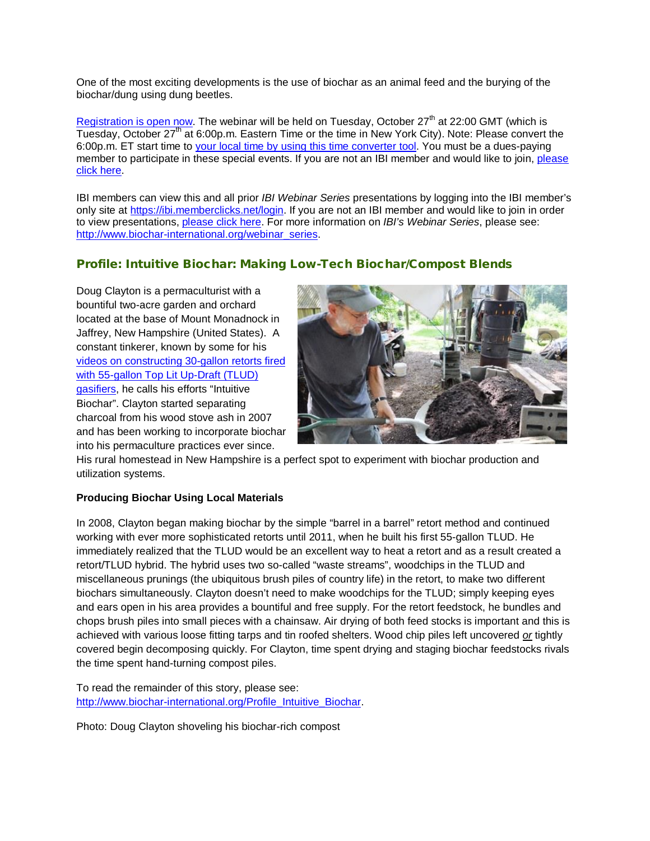One of the most exciting developments is the use of biochar as an animal feed and the burying of the biochar/dung using dung beetles.

[Registration is open now.](https://attendee.gotowebinar.com/register/8562661575488288001) The webinar will be held on Tuesday, October  $27<sup>th</sup>$  at 22:00 GMT (which is Tuesday, October 27<sup>th</sup> at 6:00p.m. Eastern Time or the time in New York City). Note: Please convert the 6:00p.m. ET start time to [your local time by using this time converter tool.](http://www.timeanddate.com/worldclock/converter.html) You must be a dues-paying member to participate in these special events. If you are not an IBI member and would like to join, please [click here.](http://www.biochar-international.org/join)

IBI members can view this and all prior *IBI Webinar Series* presentations by logging into the IBI member's only site at [https://ibi.memberclicks.net/login.](https://ibi.memberclicks.net/login) If you are not an IBI member and would like to join in order to view presentations, [please click here.](http://www.biochar-international.org/join) For more information on *IBI's Webinar Series*, please see: [http://www.biochar-international.org/webinar\\_series.](http://www.biochar-international.org/webinar_series)

#### Profile: Intuitive Biochar: Making Low-Tech Biochar/Compost Blends

Doug Clayton is a permaculturist with a bountiful two-acre garden and orchard located at the base of Mount Monadnock in Jaffrey, New Hampshire (United States). A constant tinkerer, known by some for his [videos on constructing 30-gallon retorts fired](https://www.youtube.com/watch?v=VDMWf4_Dyqo)  [with 55-gallon Top Lit Up-Draft \(TLUD\)](https://www.youtube.com/watch?v=VDMWf4_Dyqo)  [gasifiers,](https://www.youtube.com/watch?v=VDMWf4_Dyqo) he calls his efforts "Intuitive Biochar". Clayton started separating charcoal from his wood stove ash in 2007 and has been working to incorporate biochar into his permaculture practices ever since.



His rural homestead in New Hampshire is a perfect spot to experiment with biochar production and utilization systems.

#### **Producing Biochar Using Local Materials**

In 2008, Clayton began making biochar by the simple "barrel in a barrel" retort method and continued working with ever more sophisticated retorts until 2011, when he built his first 55-gallon TLUD. He immediately realized that the TLUD would be an excellent way to heat a retort and as a result created a retort/TLUD hybrid. The hybrid uses two so-called "waste streams", woodchips in the TLUD and miscellaneous prunings (the ubiquitous brush piles of country life) in the retort, to make two different biochars simultaneously. Clayton doesn't need to make woodchips for the TLUD; simply keeping eyes and ears open in his area provides a bountiful and free supply. For the retort feedstock, he bundles and chops brush piles into small pieces with a chainsaw. Air drying of both feed stocks is important and this is achieved with various loose fitting tarps and tin roofed shelters. Wood chip piles left uncovered *or* tightly covered begin decomposing quickly. For Clayton, time spent drying and staging biochar feedstocks rivals the time spent hand-turning compost piles.

To read the remainder of this story, please see: [http://www.biochar-international.org/Profile\\_Intuitive\\_Biochar.](http://www.biochar-international.org/Profile_Intuitive_Biochar)

Photo: Doug Clayton shoveling his biochar-rich compost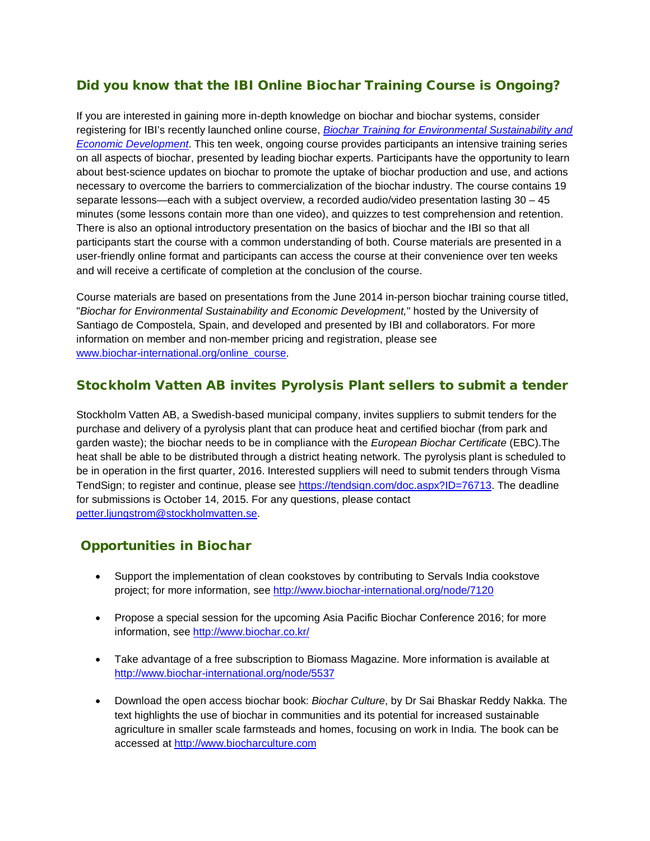## Did you know that the IBI Online Biochar Training Course is Ongoing?

If you are interested in gaining more in-depth knowledge on biochar and biochar systems, consider registering for IBI's recently launched online course, *[Biochar Training for Environmental Sustainability and](http://www.biochar-international.org/online_course)  [Economic Development](http://www.biochar-international.org/online_course)*. This ten week, ongoing course provides participants an intensive training series on all aspects of biochar, presented by leading biochar experts. Participants have the opportunity to learn about best-science updates on biochar to promote the uptake of biochar production and use, and actions necessary to overcome the barriers to commercialization of the biochar industry. The course contains 19 separate lessons—each with a subject overview, a recorded audio/video presentation lasting 30 – 45 minutes (some lessons contain more than one video), and quizzes to test comprehension and retention. There is also an optional introductory presentation on the basics of biochar and the IBI so that all participants start the course with a common understanding of both. Course materials are presented in a user-friendly online format and participants can access the course at their convenience over ten weeks and will receive a certificate of completion at the conclusion of the course.

Course materials are based on presentations from the June 2014 in-person biochar training course titled, "*Biochar for Environmental Sustainability and Economic Development,*" hosted by the University of Santiago de Compostela, Spain, and developed and presented by IBI and collaborators. For more information on member and non-member pricing and registration, please see [www.biochar-international.org/online\\_course.](http://www.biochar-international.org/online_course)

### Stockholm Vatten AB invites Pyrolysis Plant sellers to submit a tender

Stockholm Vatten AB, a Swedish-based municipal company, invites suppliers to submit tenders for the purchase and delivery of a pyrolysis plant that can produce heat and certified biochar (from park and garden waste); the biochar needs to be in compliance with the *European Biochar Certificate* (EBC).The heat shall be able to be distributed through a district heating network. The pyrolysis plant is scheduled to be in operation in the first quarter, 2016. Interested suppliers will need to submit tenders through Visma TendSign; to register and continue, please see [https://tendsign.com/doc.aspx?ID=76713.](https://tendsign.com/doc.aspx?ID=76713) The deadline for submissions is October 14, 2015. For any questions, please contact [petter.ljungstrom@stockholmvatten.se.](mailto:petter.ljungstrom@stockholmvatten.se)

### Opportunities in Biochar

- Support the implementation of clean cookstoves by contributing to Servals India cookstove project; for more information, see<http://www.biochar-international.org/node/7120>
- Propose a special session for the upcoming Asia Pacific Biochar Conference 2016; for more information, see<http://www.biochar.co.kr/>
- Take advantage of a free subscription to Biomass Magazine. More information is available at <http://www.biochar-international.org/node/5537>
- Download the open access biochar book: *Biochar Culture*, by Dr Sai Bhaskar Reddy Nakka. The text highlights the use of biochar in communities and its potential for increased sustainable agriculture in smaller scale farmsteads and homes, focusing on work in India. The book can be accessed at [http://www.biocharculture.com](http://www.biocharculture.com/)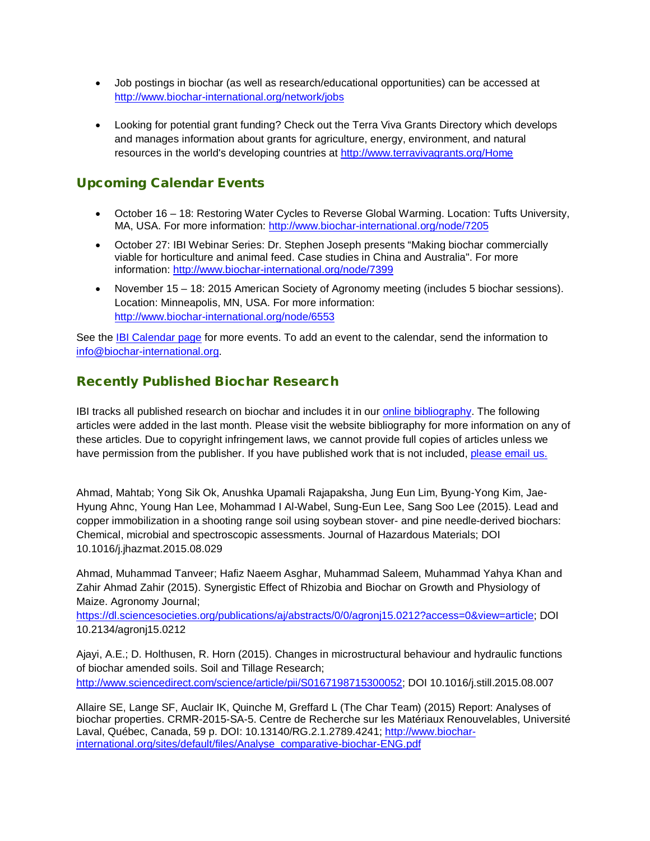- Job postings in biochar (as well as research/educational opportunities) can be accessed at [http://www.biochar-international.org/network/jobs](http://ibi.memberclicks.net/message/urlRedir?id=61120&recip=2037fe9e-203a-4b7f-af3c-ac8774c71cbd)
- Looking for potential grant funding? Check out the Terra Viva Grants Directory which develops and manages information about grants for agriculture, energy, environment, and natural resources in the world's developing countries at<http://www.terravivagrants.org/Home>

# Upcoming Calendar Events

- October 16 18: Restoring Water Cycles to Reverse Global Warming. Location: Tufts University, MA, USA. For more information:<http://www.biochar-international.org/node/7205>
- October 27: IBI Webinar Series: Dr. Stephen Joseph presents "Making biochar commercially viable for horticulture and animal feed. Case studies in China and Australia". For more information:<http://www.biochar-international.org/node/7399>
- November 15 18: 2015 American Society of Agronomy meeting (includes 5 biochar sessions). Location: Minneapolis, MN, USA. For more information: <http://www.biochar-international.org/node/6553>

See the **IBI Calendar page for more events.** To add an event to the calendar, send the information to [info@biochar-international.org.](http://ibi.memberclicks.net/message/urlRedir?id=61132&recip=2037fe9e-203a-4b7f-af3c-ac8774c71cbd)

### Recently Published Biochar Research

IBI tracks all published research on biochar and includes it in our *online bibliography*. The following articles were added in the last month. Please visit the website bibliography for more information on any of these articles. Due to copyright infringement laws, we cannot provide full copies of articles unless we have permission from the publisher. If you have published work that is not included, [please email us.](http://ibi.memberclicks.net/message/urlRedir?id=24748&recip=be7c7021-8bab-4aa7-a274-1c95dcc834ca)

Ahmad, Mahtab; Yong Sik Ok, Anushka Upamali Rajapaksha, Jung Eun Lim, Byung-Yong Kim, Jae-Hyung Ahnc, Young Han Lee, Mohammad I Al-Wabel, Sung-Eun Lee, Sang Soo Lee (2015). Lead and copper immobilization in a shooting range soil using soybean stover- and pine needle-derived biochars: Chemical, microbial and spectroscopic assessments. Journal of Hazardous Materials; DOI 10.1016/j.jhazmat.2015.08.029

Ahmad, Muhammad Tanveer; Hafiz Naeem Asghar, Muhammad Saleem, Muhammad Yahya Khan and Zahir Ahmad Zahir (2015). Synergistic Effect of Rhizobia and Biochar on Growth and Physiology of Maize. Agronomy Journal;

[https://dl.sciencesocieties.org/publications/aj/abstracts/0/0/agronj15.0212?access=0&view=article;](https://dl.sciencesocieties.org/publications/aj/abstracts/0/0/agronj15.0212?access=0&view=article) DOI 10.2134/agronj15.0212

Ajayi, A.E.; D. Holthusen, R. Horn (2015). Changes in microstructural behaviour and hydraulic functions of biochar amended soils. Soil and Tillage Research; [http://www.sciencedirect.com/science/article/pii/S0167198715300052;](http://www.sciencedirect.com/science/article/pii/S0167198715300052) DOI 10.1016/j.still.2015.08.007

Allaire SE, Lange SF, Auclair IK, Quinche M, Greffard L (The Char Team) (2015) Report: Analyses of biochar properties. CRMR-2015-SA-5. Centre de Recherche sur les Matériaux Renouvelables, Université Laval, Québec, Canada, 59 p. DOI: 10.13140/RG.2.1.2789.4241; [http://www.biochar](http://www.biochar-international.org/sites/default/files/Analyse_comparative-biochar-ENG.pdf)[international.org/sites/default/files/Analyse\\_comparative-biochar-ENG.pdf](http://www.biochar-international.org/sites/default/files/Analyse_comparative-biochar-ENG.pdf)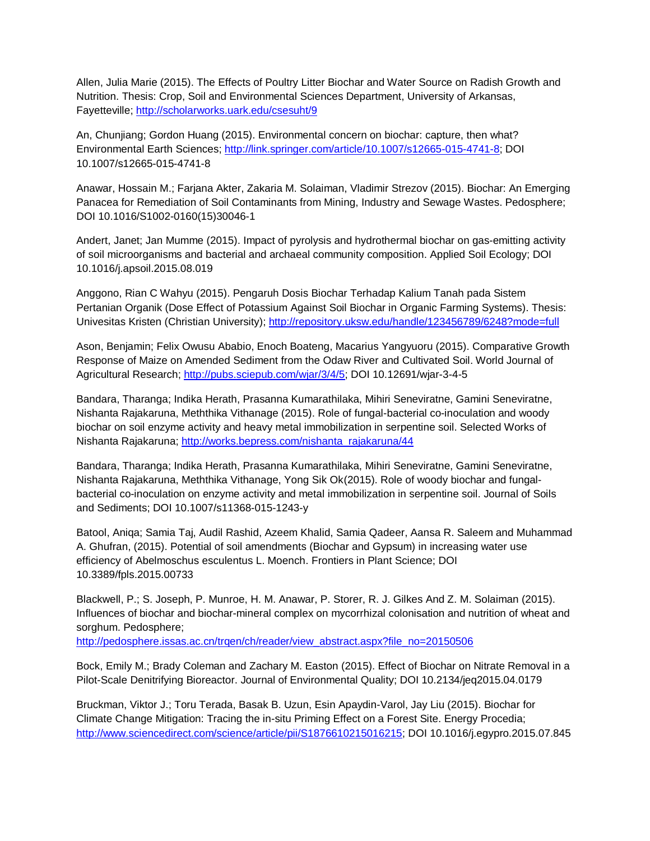Allen, Julia Marie (2015). The Effects of Poultry Litter Biochar and Water Source on Radish Growth and Nutrition. Thesis: Crop, Soil and Environmental Sciences Department, University of Arkansas, Fayetteville;<http://scholarworks.uark.edu/csesuht/9>

An, Chunjiang; Gordon Huang (2015). Environmental concern on biochar: capture, then what? Environmental Earth Sciences; [http://link.springer.com/article/10.1007/s12665-015-4741-8;](http://link.springer.com/article/10.1007/s12665-015-4741-8) DOI 10.1007/s12665-015-4741-8

Anawar, Hossain M.; Farjana Akter, Zakaria M. Solaiman, Vladimir Strezov (2015). Biochar: An Emerging Panacea for Remediation of Soil Contaminants from Mining, Industry and Sewage Wastes. Pedosphere; DOI 10.1016/S1002-0160(15)30046-1

Andert, Janet; Jan Mumme (2015). Impact of pyrolysis and hydrothermal biochar on gas-emitting activity of soil microorganisms and bacterial and archaeal community composition. Applied Soil Ecology; DOI 10.1016/j.apsoil.2015.08.019

Anggono, Rian C Wahyu (2015). Pengaruh Dosis Biochar Terhadap Kalium Tanah pada Sistem Pertanian Organik (Dose Effect of Potassium Against Soil Biochar in Organic Farming Systems). Thesis: Univesitas Kristen (Christian University);<http://repository.uksw.edu/handle/123456789/6248?mode=full>

Ason, Benjamin; Felix Owusu Ababio, Enoch Boateng, Macarius Yangyuoru (2015). Comparative Growth Response of Maize on Amended Sediment from the Odaw River and Cultivated Soil. World Journal of Agricultural Research; [http://pubs.sciepub.com/wjar/3/4/5;](http://pubs.sciepub.com/wjar/3/4/5) DOI 10.12691/wjar-3-4-5

Bandara, Tharanga; Indika Herath, Prasanna Kumarathilaka, Mihiri Seneviratne, Gamini Seneviratne, Nishanta Rajakaruna, Meththika Vithanage (2015). Role of fungal-bacterial co-inoculation and woody biochar on soil enzyme activity and heavy metal immobilization in serpentine soil. Selected Works of Nishanta Rajakaruna; [http://works.bepress.com/nishanta\\_rajakaruna/44](http://works.bepress.com/nishanta_rajakaruna/44)

Bandara, Tharanga; Indika Herath, Prasanna Kumarathilaka, Mihiri Seneviratne, Gamini Seneviratne, Nishanta Rajakaruna, Meththika Vithanage, Yong Sik Ok(2015). Role of woody biochar and fungalbacterial co-inoculation on enzyme activity and metal immobilization in serpentine soil. Journal of Soils and Sediments; DOI 10.1007/s11368-015-1243-y

Batool, Aniqa; Samia Taj, Audil Rashid, Azeem Khalid, Samia Qadeer, Aansa R. Saleem and Muhammad A. Ghufran, (2015). Potential of soil amendments (Biochar and Gypsum) in increasing water use efficiency of Abelmoschus esculentus L. Moench. Frontiers in Plant Science; DOI 10.3389/fpls.2015.00733

Blackwell, P.; S. Joseph, P. Munroe, H. M. Anawar, P. Storer, R. J. Gilkes And Z. M. Solaiman (2015). Influences of biochar and biochar-mineral complex on mycorrhizal colonisation and nutrition of wheat and sorghum. Pedosphere;

[http://pedosphere.issas.ac.cn/trqen/ch/reader/view\\_abstract.aspx?file\\_no=20150506](http://pedosphere.issas.ac.cn/trqen/ch/reader/view_abstract.aspx?file_no=20150506)

Bock, Emily M.; Brady Coleman and Zachary M. Easton (2015). Effect of Biochar on Nitrate Removal in a Pilot-Scale Denitrifying Bioreactor. Journal of Environmental Quality; DOI 10.2134/jeq2015.04.0179

Bruckman, Viktor J.; Toru Terada, Basak B. Uzun, Esin Apaydin-Varol, Jay Liu (2015). Biochar for Climate Change Mitigation: Tracing the in-situ Priming Effect on a Forest Site. Energy Procedia; [http://www.sciencedirect.com/science/article/pii/S1876610215016215;](http://www.sciencedirect.com/science/article/pii/S1876610215016215) DOI 10.1016/j.egypro.2015.07.845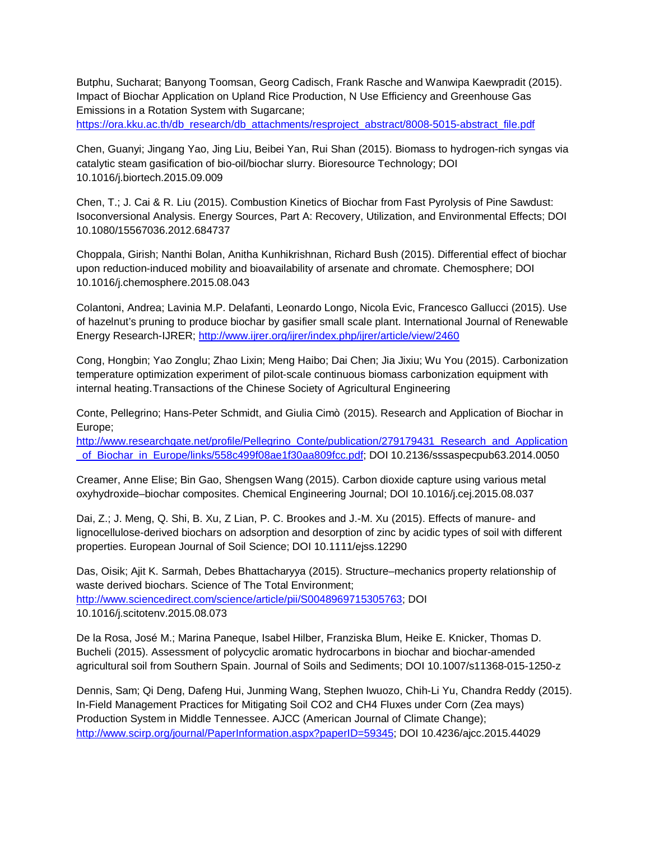Butphu, Sucharat; Banyong Toomsan, Georg Cadisch, Frank Rasche and Wanwipa Kaewpradit (2015). Impact of Biochar Application on Upland Rice Production, N Use Efficiency and Greenhouse Gas Emissions in a Rotation System with Sugarcane;

[https://ora.kku.ac.th/db\\_research/db\\_attachments/resproject\\_abstract/8008-5015-abstract\\_file.pdf](https://ora.kku.ac.th/db_research/db_attachments/resproject_abstract/8008-5015-abstract_file.pdf)

Chen, Guanyi; Jingang Yao, Jing Liu, Beibei Yan, Rui Shan (2015). Biomass to hydrogen-rich syngas via catalytic steam gasification of bio-oil/biochar slurry. Bioresource Technology; DOI 10.1016/j.biortech.2015.09.009

Chen, T.; J. Cai & R. Liu (2015). Combustion Kinetics of Biochar from Fast Pyrolysis of Pine Sawdust: Isoconversional Analysis. Energy Sources, Part A: Recovery, Utilization, and Environmental Effects; DOI 10.1080/15567036.2012.684737

Choppala, Girish; Nanthi Bolan, Anitha Kunhikrishnan, Richard Bush (2015). Differential effect of biochar upon reduction-induced mobility and bioavailability of arsenate and chromate. Chemosphere; DOI 10.1016/j.chemosphere.2015.08.043

Colantoni, Andrea; Lavinia M.P. Delafanti, Leonardo Longo, Nicola Evic, Francesco Gallucci (2015). Use of hazelnut's pruning to produce biochar by gasifier small scale plant. International Journal of Renewable Energy Research-IJRER;<http://www.ijrer.org/ijrer/index.php/ijrer/article/view/2460>

Cong, Hongbin; Yao Zonglu; Zhao Lixin; Meng Haibo; Dai Chen; Jia Jixiu; Wu You (2015). Carbonization temperature optimization experiment of pilot-scale continuous biomass carbonization equipment with internal heating.Transactions of the Chinese Society of Agricultural Engineering

Conte, Pellegrino; Hans-Peter Schmidt, and Giulia Cimò (2015). Research and Application of Biochar in Europe;

[http://www.researchgate.net/profile/Pellegrino\\_Conte/publication/279179431\\_Research\\_and\\_Application](http://www.researchgate.net/profile/Pellegrino_Conte/publication/279179431_Research_and_Application_of_Biochar_in_Europe/links/558c499f08ae1f30aa809fcc.pdf) of Biochar\_in\_Europe/links/558c499f08ae1f30aa809fcc.pdf; DOI 10.2136/sssaspecpub63.2014.0050

Creamer, Anne Elise; Bin Gao, Shengsen Wang (2015). Carbon dioxide capture using various metal oxyhydroxide–biochar composites. Chemical Engineering Journal; DOI 10.1016/j.cej.2015.08.037

Dai, Z.; J. Meng, Q. Shi, B. Xu, Z Lian, P. C. Brookes and J.-M. Xu (2015). Effects of manure- and lignocellulose-derived biochars on adsorption and desorption of zinc by acidic types of soil with different properties. European Journal of Soil Science; DOI 10.1111/ejss.12290

Das, Oisik; Ajit K. Sarmah, Debes Bhattacharyya (2015). Structure–mechanics property relationship of waste derived biochars. Science of The Total Environment; [http://www.sciencedirect.com/science/article/pii/S0048969715305763;](http://www.sciencedirect.com/science/article/pii/S0048969715305763) DOI 10.1016/j.scitotenv.2015.08.073

De la Rosa, José M.; Marina Paneque, Isabel Hilber, Franziska Blum, Heike E. Knicker, Thomas D. Bucheli (2015). Assessment of polycyclic aromatic hydrocarbons in biochar and biochar-amended agricultural soil from Southern Spain. Journal of Soils and Sediments; DOI 10.1007/s11368-015-1250-z

Dennis, Sam; Qi Deng, Dafeng Hui, Junming Wang, Stephen Iwuozo, Chih-Li Yu, Chandra Reddy (2015). In-Field Management Practices for Mitigating Soil CO2 and CH4 Fluxes under Corn (Zea mays) Production System in Middle Tennessee. AJCC (American Journal of Climate Change); [http://www.scirp.org/journal/PaperInformation.aspx?paperID=59345;](http://www.scirp.org/journal/PaperInformation.aspx?paperID=59345) DOI 10.4236/ajcc.2015.44029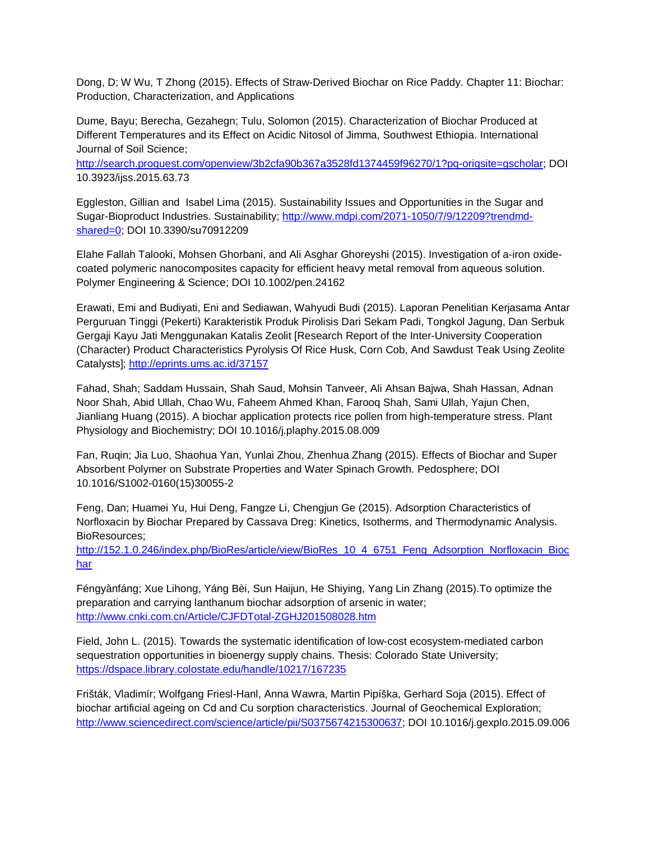Dong, D; W Wu, T Zhong (2015). Effects of Straw-Derived Biochar on Rice Paddy. Chapter 11: Biochar: Production, Characterization, and Applications

Dume, Bayu; Berecha, Gezahegn; Tulu, Solomon (2015). Characterization of Biochar Produced at Different Temperatures and its Effect on Acidic Nitosol of Jimma, Southwest Ethiopia. International Journal of Soil Science;

[http://search.proquest.com/openview/3b2cfa90b367a3528fd1374459f96270/1?pq-origsite=gscholar;](http://search.proquest.com/openview/3b2cfa90b367a3528fd1374459f96270/1?pq-origsite=gscholar) DOI 10.3923/ijss.2015.63.73

Eggleston, Gillian and Isabel Lima (2015). Sustainability Issues and Opportunities in the Sugar and Sugar-Bioproduct Industries. Sustainability; [http://www.mdpi.com/2071-1050/7/9/12209?trendmd](http://www.mdpi.com/2071-1050/7/9/12209?trendmd-shared=0)[shared=0;](http://www.mdpi.com/2071-1050/7/9/12209?trendmd-shared=0) DOI 10.3390/su70912209

Elahe Fallah Talooki, Mohsen Ghorbani, and Ali Asghar Ghoreyshi (2015). Investigation of a-iron oxidecoated polymeric nanocomposites capacity for efficient heavy metal removal from aqueous solution. Polymer Engineering & Science; DOI 10.1002/pen.24162

Erawati, Emi and Budiyati, Eni and Sediawan, Wahyudi Budi (2015). Laporan Penelitian Kerjasama Antar Perguruan Tinggi (Pekerti) Karakteristik Produk Pirolisis Dari Sekam Padi, Tongkol Jagung, Dan Serbuk Gergaji Kayu Jati Menggunakan Katalis Zeolit [Research Report of the Inter-University Cooperation (Character) Product Characteristics Pyrolysis Of Rice Husk, Corn Cob, And Sawdust Teak Using Zeolite Catalysts];<http://eprints.ums.ac.id/37157>

Fahad, Shah; Saddam Hussain, Shah Saud, Mohsin Tanveer, Ali Ahsan Bajwa, Shah Hassan, Adnan Noor Shah, Abid Ullah, Chao Wu, Faheem Ahmed Khan, Farooq Shah, Sami Ullah, Yajun Chen, Jianliang Huang (2015). A biochar application protects rice pollen from high-temperature stress. Plant Physiology and Biochemistry; DOI 10.1016/j.plaphy.2015.08.009

Fan, Ruqin; Jia Luo, Shaohua Yan, Yunlai Zhou, Zhenhua Zhang (2015). Effects of Biochar and Super Absorbent Polymer on Substrate Properties and Water Spinach Growth. Pedosphere; DOI 10.1016/S1002-0160(15)30055-2

Feng, Dan; Huamei Yu, Hui Deng, Fangze Li, Chengjun Ge (2015). Adsorption Characteristics of Norfloxacin by Biochar Prepared by Cassava Dreg: Kinetics, Isotherms, and Thermodynamic Analysis. BioResources;

[http://152.1.0.246/index.php/BioRes/article/view/BioRes\\_10\\_4\\_6751\\_Feng\\_Adsorption\\_Norfloxacin\\_Bioc](http://152.1.0.246/index.php/BioRes/article/view/BioRes_10_4_6751_Feng_Adsorption_Norfloxacin_Biochar) [har](http://152.1.0.246/index.php/BioRes/article/view/BioRes_10_4_6751_Feng_Adsorption_Norfloxacin_Biochar)

Féngyànfáng; Xue Lihong, Yáng Bèi, Sun Haijun, He Shiying, Yang Lin Zhang (2015).To optimize the preparation and carrying lanthanum biochar adsorption of arsenic in water; <http://www.cnki.com.cn/Article/CJFDTotal-ZGHJ201508028.htm>

Field, John L. (2015). Towards the systematic identification of low-cost ecosystem-mediated carbon sequestration opportunities in bioenergy supply chains. Thesis: Colorado State University; <https://dspace.library.colostate.edu/handle/10217/167235>

Frišták, Vladimír; Wolfgang Friesl-Hanl, Anna Wawra, Martin Pipíška, Gerhard Soja (2015). Effect of biochar artificial ageing on Cd and Cu sorption characteristics. Journal of Geochemical Exploration; [http://www.sciencedirect.com/science/article/pii/S0375674215300637;](http://www.sciencedirect.com/science/article/pii/S0375674215300637) DOI 10.1016/j.gexplo.2015.09.006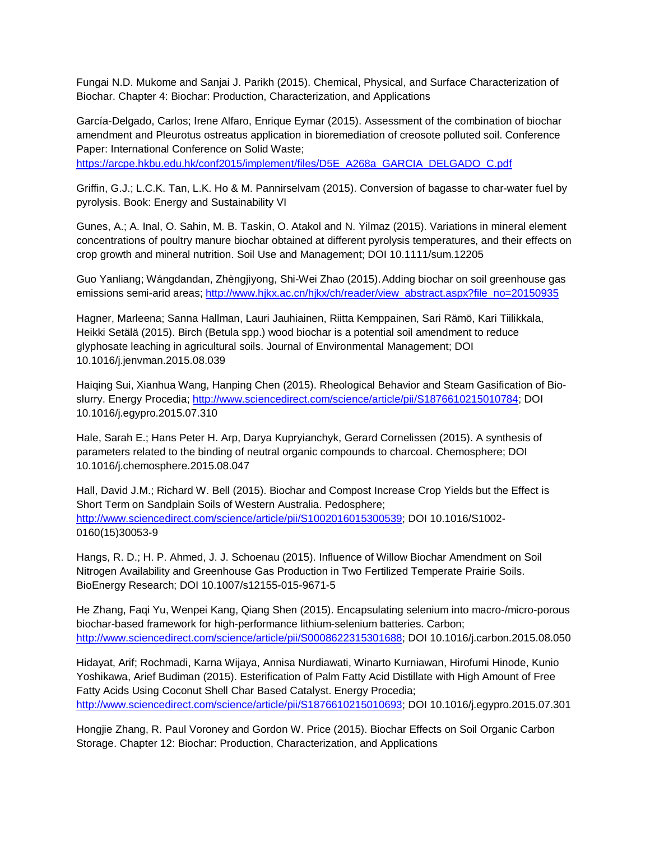Fungai N.D. Mukome and Sanjai J. Parikh (2015). Chemical, Physical, and Surface Characterization of Biochar. Chapter 4: Biochar: Production, Characterization, and Applications

García-Delgado, Carlos; Irene Alfaro, Enrique Eymar (2015). Assessment of the combination of biochar amendment and Pleurotus ostreatus application in bioremediation of creosote polluted soil. Conference Paper: International Conference on Solid Waste;

[https://arcpe.hkbu.edu.hk/conf2015/implement/files/D5E\\_A268a\\_GARCIA\\_DELGADO\\_C.pdf](https://arcpe.hkbu.edu.hk/conf2015/implement/files/D5E_A268a_GARCIA_DELGADO_C.pdf)

Griffin, G.J.; L.C.K. Tan, L.K. Ho & M. Pannirselvam (2015). Conversion of bagasse to char-water fuel by pyrolysis. Book: Energy and Sustainability VI

Gunes, A.; A. Inal, O. Sahin, M. B. Taskin, O. Atakol and N. Yilmaz (2015). Variations in mineral element concentrations of poultry manure biochar obtained at different pyrolysis temperatures, and their effects on crop growth and mineral nutrition. Soil Use and Management; DOI 10.1111/sum.12205

Guo Yanliang; Wángdandan, Zhèngjìyong, Shi-Wei Zhao (2015).Adding biochar on soil greenhouse gas emissions semi-arid areas[; http://www.hjkx.ac.cn/hjkx/ch/reader/view\\_abstract.aspx?file\\_no=20150935](http://www.hjkx.ac.cn/hjkx/ch/reader/view_abstract.aspx?file_no=20150935)

Hagner, Marleena; Sanna Hallman, Lauri Jauhiainen, Riitta Kemppainen, Sari Rämö, Kari Tiilikkala, Heikki Setälä (2015). Birch (Betula spp.) wood biochar is a potential soil amendment to reduce glyphosate leaching in agricultural soils. Journal of Environmental Management; DOI 10.1016/j.jenvman.2015.08.039

Haiqing Sui, Xianhua Wang, Hanping Chen (2015). Rheological Behavior and Steam Gasification of Bioslurry. Energy Procedia; [http://www.sciencedirect.com/science/article/pii/S1876610215010784;](http://www.sciencedirect.com/science/article/pii/S1876610215010784) DOI 10.1016/j.egypro.2015.07.310

Hale, Sarah E.; Hans Peter H. Arp, Darya Kupryianchyk, Gerard Cornelissen (2015). A synthesis of parameters related to the binding of neutral organic compounds to charcoal. Chemosphere; DOI 10.1016/j.chemosphere.2015.08.047

Hall, David J.M.; Richard W. Bell (2015). Biochar and Compost Increase Crop Yields but the Effect is Short Term on Sandplain Soils of Western Australia. Pedosphere; [http://www.sciencedirect.com/science/article/pii/S1002016015300539;](http://www.sciencedirect.com/science/article/pii/S1002016015300539) DOI 10.1016/S1002- 0160(15)30053-9

Hangs, R. D.; H. P. Ahmed, J. J. Schoenau (2015). Influence of Willow Biochar Amendment on Soil Nitrogen Availability and Greenhouse Gas Production in Two Fertilized Temperate Prairie Soils. BioEnergy Research; DOI 10.1007/s12155-015-9671-5

He Zhang, Faqi Yu, Wenpei Kang, Qiang Shen (2015). Encapsulating selenium into macro-/micro-porous biochar-based framework for high-performance lithium-selenium batteries. Carbon; [http://www.sciencedirect.com/science/article/pii/S0008622315301688;](http://www.sciencedirect.com/science/article/pii/S0008622315301688) DOI 10.1016/j.carbon.2015.08.050

Hidayat, Arif; Rochmadi, Karna Wijaya, Annisa Nurdiawati, Winarto Kurniawan, Hirofumi Hinode, Kunio Yoshikawa, Arief Budiman (2015). Esterification of Palm Fatty Acid Distillate with High Amount of Free Fatty Acids Using Coconut Shell Char Based Catalyst. Energy Procedia; [http://www.sciencedirect.com/science/article/pii/S1876610215010693;](http://www.sciencedirect.com/science/article/pii/S1876610215010693) DOI 10.1016/j.egypro.2015.07.301

Hongjie Zhang, R. Paul Voroney and Gordon W. Price (2015). Biochar Effects on Soil Organic Carbon Storage. Chapter 12: Biochar: Production, Characterization, and Applications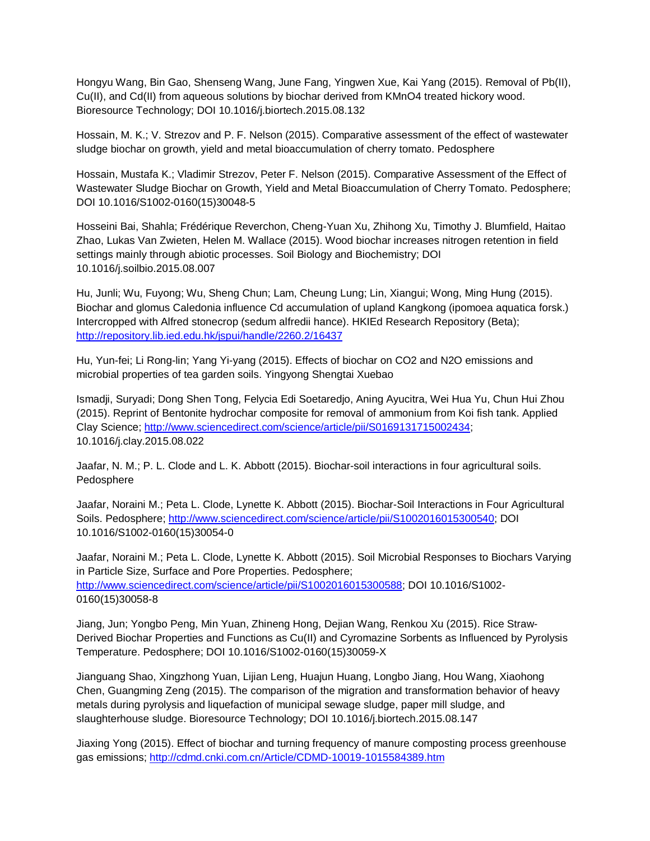Hongyu Wang, Bin Gao, Shenseng Wang, June Fang, Yingwen Xue, Kai Yang (2015). Removal of Pb(II), Cu(II), and Cd(II) from aqueous solutions by biochar derived from KMnO4 treated hickory wood. Bioresource Technology; DOI 10.1016/j.biortech.2015.08.132

Hossain, M. K.; V. Strezov and P. F. Nelson (2015). Comparative assessment of the effect of wastewater sludge biochar on growth, yield and metal bioaccumulation of cherry tomato. Pedosphere

Hossain, Mustafa K.; Vladimir Strezov, Peter F. Nelson (2015). Comparative Assessment of the Effect of Wastewater Sludge Biochar on Growth, Yield and Metal Bioaccumulation of Cherry Tomato. Pedosphere; DOI 10.1016/S1002-0160(15)30048-5

Hosseini Bai, Shahla; Frédérique Reverchon, Cheng-Yuan Xu, Zhihong Xu, Timothy J. Blumfield, Haitao Zhao, Lukas Van Zwieten, Helen M. Wallace (2015). Wood biochar increases nitrogen retention in field settings mainly through abiotic processes. Soil Biology and Biochemistry; DOI 10.1016/j.soilbio.2015.08.007

Hu, Junli; Wu, Fuyong; Wu, Sheng Chun; Lam, Cheung Lung; Lin, Xiangui; Wong, Ming Hung (2015). Biochar and glomus Caledonia influence Cd accumulation of upland Kangkong (ipomoea aquatica forsk.) Intercropped with Alfred stonecrop (sedum alfredii hance). HKIEd Research Repository (Beta); <http://repository.lib.ied.edu.hk/jspui/handle/2260.2/16437>

Hu, Yun-fei; Li Rong-lin; Yang Yi-yang (2015). Effects of biochar on CO2 and N2O emissions and microbial properties of tea garden soils. Yingyong Shengtai Xuebao

Ismadji, Suryadi; Dong Shen Tong, Felycia Edi Soetaredjo, Aning Ayucitra, Wei Hua Yu, Chun Hui Zhou (2015). Reprint of Bentonite hydrochar composite for removal of ammonium from Koi fish tank. Applied Clay Science; [http://www.sciencedirect.com/science/article/pii/S0169131715002434;](http://www.sciencedirect.com/science/article/pii/S0169131715002434) 10.1016/j.clay.2015.08.022

Jaafar, N. M.; P. L. Clode and L. K. Abbott (2015). Biochar-soil interactions in four agricultural soils. Pedosphere

Jaafar, Noraini M.; Peta L. Clode, Lynette K. Abbott (2015). Biochar-Soil Interactions in Four Agricultural Soils. Pedosphere[; http://www.sciencedirect.com/science/article/pii/S1002016015300540;](http://www.sciencedirect.com/science/article/pii/S1002016015300540) DOI 10.1016/S1002-0160(15)30054-0

Jaafar, Noraini M.; Peta L. Clode, Lynette K. Abbott (2015). Soil Microbial Responses to Biochars Varying in Particle Size, Surface and Pore Properties. Pedosphere; [http://www.sciencedirect.com/science/article/pii/S1002016015300588;](http://www.sciencedirect.com/science/article/pii/S1002016015300588) DOI 10.1016/S1002- 0160(15)30058-8

Jiang, Jun; Yongbo Peng, Min Yuan, Zhineng Hong, Dejian Wang, Renkou Xu (2015). Rice Straw-Derived Biochar Properties and Functions as Cu(II) and Cyromazine Sorbents as Influenced by Pyrolysis Temperature. Pedosphere; DOI 10.1016/S1002-0160(15)30059-X

Jianguang Shao, Xingzhong Yuan, Lijian Leng, Huajun Huang, Longbo Jiang, Hou Wang, Xiaohong Chen, Guangming Zeng (2015). The comparison of the migration and transformation behavior of heavy metals during pyrolysis and liquefaction of municipal sewage sludge, paper mill sludge, and slaughterhouse sludge. Bioresource Technology; DOI 10.1016/j.biortech.2015.08.147

Jiaxing Yong (2015). Effect of biochar and turning frequency of manure composting process greenhouse gas emissions;<http://cdmd.cnki.com.cn/Article/CDMD-10019-1015584389.htm>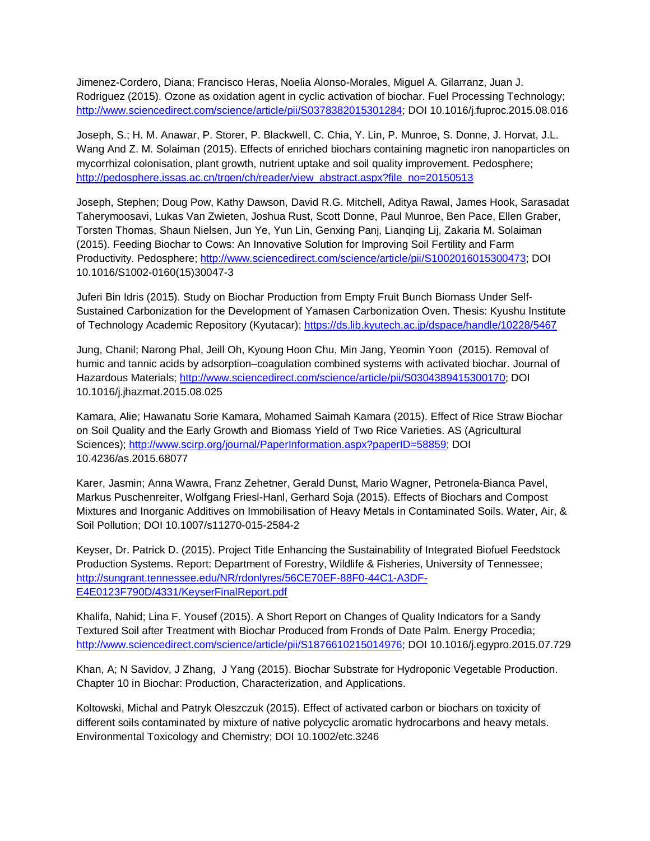Jimenez-Cordero, Diana; Francisco Heras, Noelia Alonso-Morales, Miguel A. Gilarranz, Juan J. Rodriguez (2015). Ozone as oxidation agent in cyclic activation of biochar. Fuel Processing Technology; [http://www.sciencedirect.com/science/article/pii/S0378382015301284;](http://www.sciencedirect.com/science/article/pii/S0378382015301284) DOI 10.1016/j.fuproc.2015.08.016

Joseph, S.; H. M. Anawar, P. Storer, P. Blackwell, C. Chia, Y. Lin, P. Munroe, S. Donne, J. Horvat, J.L. Wang And Z. M. Solaiman (2015). Effects of enriched biochars containing magnetic iron nanoparticles on mycorrhizal colonisation, plant growth, nutrient uptake and soil quality improvement. Pedosphere; [http://pedosphere.issas.ac.cn/trqen/ch/reader/view\\_abstract.aspx?file\\_no=20150513](http://pedosphere.issas.ac.cn/trqen/ch/reader/view_abstract.aspx?file_no=20150513)

Joseph, Stephen; Doug Pow, Kathy Dawson, David R.G. Mitchell, Aditya Rawal, James Hook, Sarasadat Taherymoosavi, Lukas Van Zwieten, Joshua Rust, Scott Donne, Paul Munroe, Ben Pace, Ellen Graber, Torsten Thomas, Shaun Nielsen, Jun Ye, Yun Lin, Genxing Panj, Lianqing Lij, Zakaria M. Solaiman (2015). Feeding Biochar to Cows: An Innovative Solution for Improving Soil Fertility and Farm Productivity. Pedosphere[; http://www.sciencedirect.com/science/article/pii/S1002016015300473;](http://www.sciencedirect.com/science/article/pii/S1002016015300473) DOI 10.1016/S1002-0160(15)30047-3

Juferi Bin Idris (2015). Study on Biochar Production from Empty Fruit Bunch Biomass Under Self-Sustained Carbonization for the Development of Yamasen Carbonization Oven. Thesis: Kyushu Institute of Technology Academic Repository (Kyutacar);<https://ds.lib.kyutech.ac.jp/dspace/handle/10228/5467>

Jung, Chanil; Narong Phal, Jeill Oh, Kyoung Hoon Chu, Min Jang, Yeomin Yoon (2015). Removal of humic and tannic acids by adsorption–coagulation combined systems with activated biochar. Journal of Hazardous Materials; [http://www.sciencedirect.com/science/article/pii/S0304389415300170;](http://www.sciencedirect.com/science/article/pii/S0304389415300170) DOI 10.1016/j.jhazmat.2015.08.025

Kamara, Alie; Hawanatu Sorie Kamara, Mohamed Saimah Kamara (2015). Effect of Rice Straw Biochar on Soil Quality and the Early Growth and Biomass Yield of Two Rice Varieties. AS (Agricultural Sciences); [http://www.scirp.org/journal/PaperInformation.aspx?paperID=58859;](http://www.scirp.org/journal/PaperInformation.aspx?paperID=58859) DOI 10.4236/as.2015.68077

Karer, Jasmin; Anna Wawra, Franz Zehetner, Gerald Dunst, Mario Wagner, Petronela-Bianca Pavel, Markus Puschenreiter, Wolfgang Friesl-Hanl, Gerhard Soja (2015). Effects of Biochars and Compost Mixtures and Inorganic Additives on Immobilisation of Heavy Metals in Contaminated Soils. Water, Air, & Soil Pollution; DOI 10.1007/s11270-015-2584-2

Keyser, Dr. Patrick D. (2015). Project Title Enhancing the Sustainability of Integrated Biofuel Feedstock Production Systems. Report: Department of Forestry, Wildlife & Fisheries, University of Tennessee; [http://sungrant.tennessee.edu/NR/rdonlyres/56CE70EF-88F0-44C1-A3DF-](http://sungrant.tennessee.edu/NR/rdonlyres/56CE70EF-88F0-44C1-A3DF-E4E0123F790D/4331/KeyserFinalReport.pdf)[E4E0123F790D/4331/KeyserFinalReport.pdf](http://sungrant.tennessee.edu/NR/rdonlyres/56CE70EF-88F0-44C1-A3DF-E4E0123F790D/4331/KeyserFinalReport.pdf)

Khalifa, Nahid; Lina F. Yousef (2015). A Short Report on Changes of Quality Indicators for a Sandy Textured Soil after Treatment with Biochar Produced from Fronds of Date Palm. Energy Procedia; [http://www.sciencedirect.com/science/article/pii/S1876610215014976;](http://www.sciencedirect.com/science/article/pii/S1876610215014976) DOI 10.1016/j.egypro.2015.07.729

Khan, A; N Savidov, J Zhang, J Yang (2015). Biochar Substrate for Hydroponic Vegetable Production. Chapter 10 in Biochar: Production, Characterization, and Applications.

Koltowski, Michal and Patryk Oleszczuk (2015). Effect of activated carbon or biochars on toxicity of different soils contaminated by mixture of native polycyclic aromatic hydrocarbons and heavy metals. Environmental Toxicology and Chemistry; DOI 10.1002/etc.3246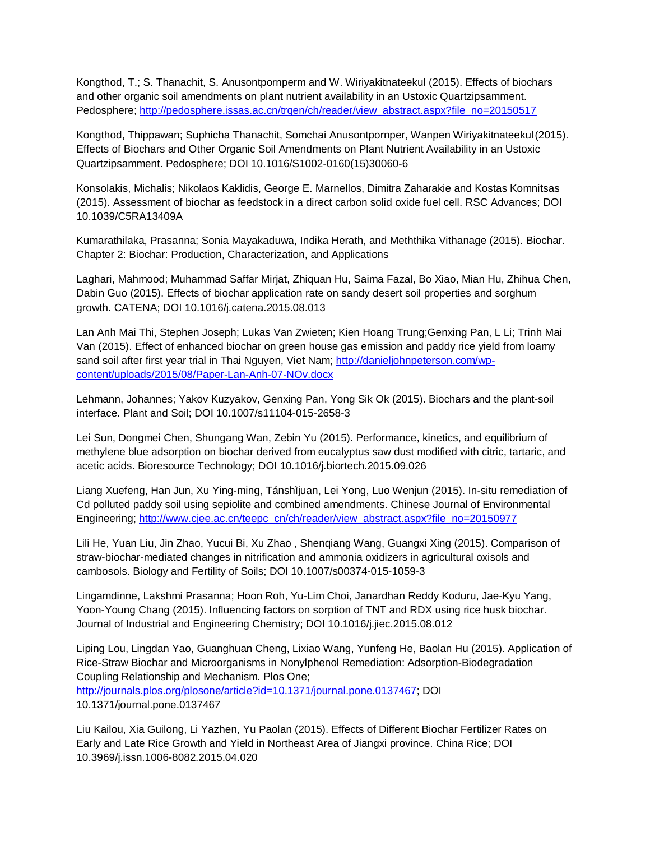Kongthod, T.; S. Thanachit, S. Anusontpornperm and W. Wiriyakitnateekul (2015). Effects of biochars and other organic soil amendments on plant nutrient availability in an Ustoxic Quartzipsamment. Pedosphere; [http://pedosphere.issas.ac.cn/trqen/ch/reader/view\\_abstract.aspx?file\\_no=20150517](http://pedosphere.issas.ac.cn/trqen/ch/reader/view_abstract.aspx?file_no=20150517)

Kongthod, Thippawan; Suphicha Thanachit, Somchai Anusontpornper, Wanpen Wiriyakitnateekul(2015). Effects of Biochars and Other Organic Soil Amendments on Plant Nutrient Availability in an Ustoxic Quartzipsamment. Pedosphere; DOI 10.1016/S1002-0160(15)30060-6

Konsolakis, Michalis; Nikolaos Kaklidis, George E. Marnellos, Dimitra Zaharakie and Kostas Komnitsas (2015). Assessment of biochar as feedstock in a direct carbon solid oxide fuel cell. RSC Advances; DOI 10.1039/C5RA13409A

Kumarathilaka, Prasanna; Sonia Mayakaduwa, Indika Herath, and Meththika Vithanage (2015). Biochar. Chapter 2: Biochar: Production, Characterization, and Applications

Laghari, Mahmood; Muhammad Saffar Mirjat, Zhiquan Hu, Saima Fazal, Bo Xiao, Mian Hu, Zhihua Chen, Dabin Guo (2015). Effects of biochar application rate on sandy desert soil properties and sorghum growth. CATENA; DOI 10.1016/j.catena.2015.08.013

Lan Anh Mai Thi, Stephen Joseph; Lukas Van Zwieten; Kien Hoang Trung;Genxing Pan, L Li; Trinh Mai Van (2015). Effect of enhanced biochar on green house gas emission and paddy rice yield from loamy sand soil after first year trial in Thai Nguyen, Viet Nam; [http://danieljohnpeterson.com/wp](http://danieljohnpeterson.com/wp-content/uploads/2015/08/Paper-Lan-Anh-07-NOv.docx)[content/uploads/2015/08/Paper-Lan-Anh-07-NOv.docx](http://danieljohnpeterson.com/wp-content/uploads/2015/08/Paper-Lan-Anh-07-NOv.docx)

Lehmann, Johannes; Yakov Kuzyakov, Genxing Pan, Yong Sik Ok (2015). Biochars and the plant-soil interface. Plant and Soil; DOI 10.1007/s11104-015-2658-3

Lei Sun, Dongmei Chen, Shungang Wan, Zebin Yu (2015). Performance, kinetics, and equilibrium of methylene blue adsorption on biochar derived from eucalyptus saw dust modified with citric, tartaric, and acetic acids. Bioresource Technology; DOI 10.1016/j.biortech.2015.09.026

Liang Xuefeng, Han Jun, Xu Ying-ming, Tánshìjuan, Lei Yong, Luo Wenjun (2015). In-situ remediation of Cd polluted paddy soil using sepiolite and combined amendments. Chinese Journal of Environmental Engineering; [http://www.cjee.ac.cn/teepc\\_cn/ch/reader/view\\_abstract.aspx?file\\_no=20150977](http://www.cjee.ac.cn/teepc_cn/ch/reader/view_abstract.aspx?file_no=20150977)

Lili He, Yuan Liu, Jin Zhao, Yucui Bi, Xu Zhao , Shenqiang Wang, Guangxi Xing (2015). Comparison of straw-biochar-mediated changes in nitrification and ammonia oxidizers in agricultural oxisols and cambosols. Biology and Fertility of Soils; DOI 10.1007/s00374-015-1059-3

Lingamdinne, Lakshmi Prasanna; Hoon Roh, Yu-Lim Choi, Janardhan Reddy Koduru, Jae-Kyu Yang, Yoon-Young Chang (2015). Influencing factors on sorption of TNT and RDX using rice husk biochar. Journal of Industrial and Engineering Chemistry; DOI 10.1016/j.jiec.2015.08.012

Liping Lou, Lingdan Yao, Guanghuan Cheng, Lixiao Wang, Yunfeng He, Baolan Hu (2015). Application of Rice-Straw Biochar and Microorganisms in Nonylphenol Remediation: Adsorption-Biodegradation Coupling Relationship and Mechanism. Plos One; [http://journals.plos.org/plosone/article?id=10.1371/journal.pone.0137467;](http://journals.plos.org/plosone/article?id=10.1371/journal.pone.0137467) DOI 10.1371/journal.pone.0137467

Liu Kailou, Xia Guilong, Li Yazhen, Yu Paolan (2015). Effects of Different Biochar Fertilizer Rates on Early and Late Rice Growth and Yield in Northeast Area of Jiangxi province. China Rice; DOI 10.3969/j.issn.1006-8082.2015.04.020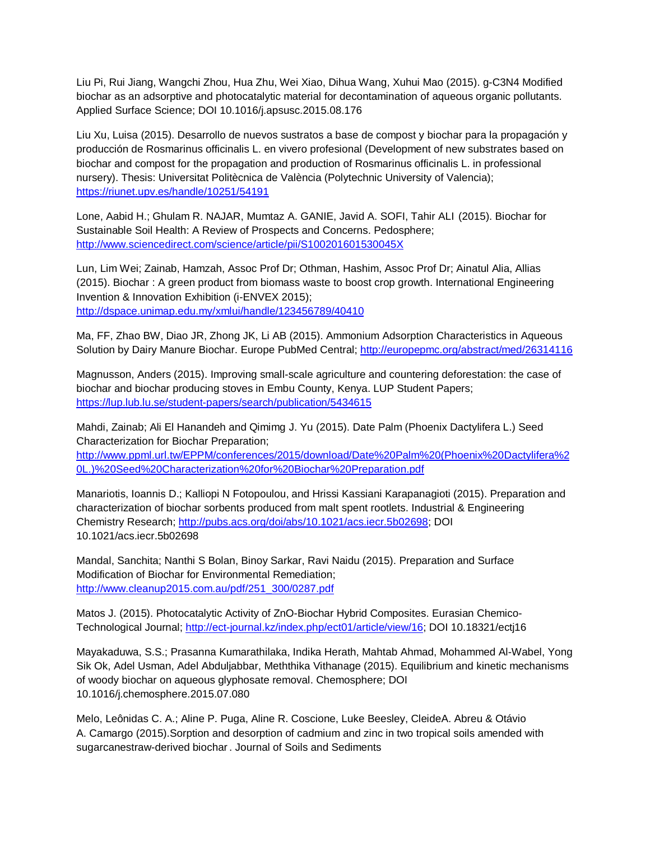Liu Pi, Rui Jiang, Wangchi Zhou, Hua Zhu, Wei Xiao, Dihua Wang, Xuhui Mao (2015). g-C3N4 Modified biochar as an adsorptive and photocatalytic material for decontamination of aqueous organic pollutants. Applied Surface Science; DOI 10.1016/j.apsusc.2015.08.176

Liu Xu, Luisa (2015). Desarrollo de nuevos sustratos a base de compost y biochar para la propagación y producción de Rosmarinus officinalis L. en vivero profesional (Development of new substrates based on biochar and compost for the propagation and production of Rosmarinus officinalis L. in professional nursery). Thesis: Universitat Politècnica de València (Polytechnic University of Valencia); <https://riunet.upv.es/handle/10251/54191>

Lone, Aabid H.; Ghulam R. NAJAR, Mumtaz A. GANIE, Javid A. SOFI, Tahir ALI (2015). Biochar for Sustainable Soil Health: A Review of Prospects and Concerns. Pedosphere; <http://www.sciencedirect.com/science/article/pii/S100201601530045X>

Lun, Lim Wei; Zainab, Hamzah, Assoc Prof Dr; Othman, Hashim, Assoc Prof Dr; Ainatul Alia, Allias (2015). Biochar : A green product from biomass waste to boost crop growth. International Engineering Invention & Innovation Exhibition (i-ENVEX 2015); <http://dspace.unimap.edu.my/xmlui/handle/123456789/40410>

Ma, FF, Zhao BW, Diao JR, Zhong JK, Li AB (2015). Ammonium Adsorption Characteristics in Aqueous Solution by Dairy Manure Biochar. Europe PubMed Central;<http://europepmc.org/abstract/med/26314116>

Magnusson, Anders (2015). Improving small-scale agriculture and countering deforestation: the case of biochar and biochar producing stoves in Embu County, Kenya. LUP Student Papers; <https://lup.lub.lu.se/student-papers/search/publication/5434615>

Mahdi, Zainab; Ali El Hanandeh and Qimimg J. Yu (2015). Date Palm (Phoenix Dactylifera L.) Seed Characterization for Biochar Preparation;

[http://www.ppml.url.tw/EPPM/conferences/2015/download/Date%20Palm%20\(Phoenix%20Dactylifera%2](http://www.ppml.url.tw/EPPM/conferences/2015/download/Date%20Palm%20(Phoenix%20Dactylifera%20L.)%20Seed%20Characterization%20for%20Biochar%20Preparation.pdf) [0L.\)%20Seed%20Characterization%20for%20Biochar%20Preparation.pdf](http://www.ppml.url.tw/EPPM/conferences/2015/download/Date%20Palm%20(Phoenix%20Dactylifera%20L.)%20Seed%20Characterization%20for%20Biochar%20Preparation.pdf)

Manariotis, Ioannis D.; Kalliopi N Fotopoulou, and Hrissi Kassiani Karapanagioti (2015). Preparation and characterization of biochar sorbents produced from malt spent rootlets. Industrial & Engineering Chemistry Research; [http://pubs.acs.org/doi/abs/10.1021/acs.iecr.5b02698;](http://pubs.acs.org/doi/abs/10.1021/acs.iecr.5b02698) DOI 10.1021/acs.iecr.5b02698

Mandal, Sanchita; Nanthi S Bolan, Binoy Sarkar, Ravi Naidu (2015). Preparation and Surface Modification of Biochar for Environmental Remediation; [http://www.cleanup2015.com.au/pdf/251\\_300/0287.pdf](http://www.cleanup2015.com.au/pdf/251_300/0287.pdf)

Matos J. (2015). Photocatalytic Activity of ZnO-Biochar Hybrid Composites. Eurasian Chemico-Technological Journal; [http://ect-journal.kz/index.php/ect01/article/view/16;](http://ect-journal.kz/index.php/ect01/article/view/16) DOI 10.18321/ectj16

Mayakaduwa, S.S.; Prasanna Kumarathilaka, Indika Herath, Mahtab Ahmad, Mohammed Al-Wabel, Yong Sik Ok, Adel Usman, Adel Abduljabbar, Meththika Vithanage (2015). Equilibrium and kinetic mechanisms of woody biochar on aqueous glyphosate removal. Chemosphere; DOI 10.1016/j.chemosphere.2015.07.080

Melo, Leônidas C. A.; Aline P. Puga, Aline R. Coscione, Luke Beesley, CleideA. Abreu & Otávio A. Camargo (2015).Sorption and desorption of cadmium and zinc in two tropical soils amended with sugarcanestraw-derived biochar . Journal of Soils and Sediments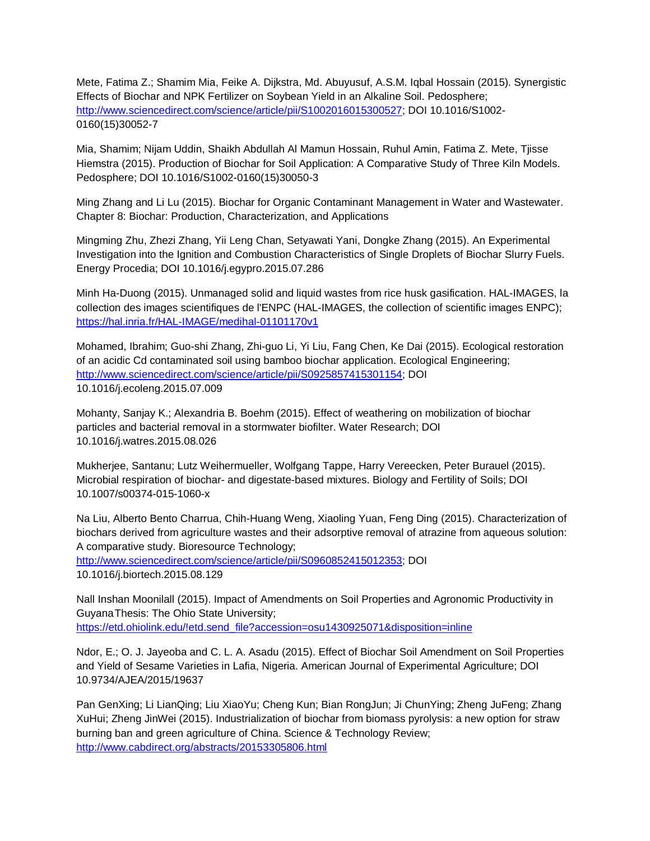Mete, Fatima Z.; Shamim Mia, Feike A. Dijkstra, Md. Abuyusuf, A.S.M. Iqbal Hossain (2015). Synergistic Effects of Biochar and NPK Fertilizer on Soybean Yield in an Alkaline Soil. Pedosphere; [http://www.sciencedirect.com/science/article/pii/S1002016015300527;](http://www.sciencedirect.com/science/article/pii/S1002016015300527) DOI 10.1016/S1002- 0160(15)30052-7

Mia, Shamim; Nijam Uddin, Shaikh Abdullah Al Mamun Hossain, Ruhul Amin, Fatima Z. Mete, Tjisse Hiemstra (2015). Production of Biochar for Soil Application: A Comparative Study of Three Kiln Models. Pedosphere; DOI 10.1016/S1002-0160(15)30050-3

Ming Zhang and Li Lu (2015). Biochar for Organic Contaminant Management in Water and Wastewater. Chapter 8: Biochar: Production, Characterization, and Applications

Mingming Zhu, Zhezi Zhang, Yii Leng Chan, Setyawati Yani, Dongke Zhang (2015). An Experimental Investigation into the Ignition and Combustion Characteristics of Single Droplets of Biochar Slurry Fuels. Energy Procedia; DOI 10.1016/j.egypro.2015.07.286

Minh Ha-Duong (2015). Unmanaged solid and liquid wastes from rice husk gasification. HAL-IMAGES, la collection des images scientifiques de l'ENPC (HAL-IMAGES, the collection of scientific images ENPC); <https://hal.inria.fr/HAL-IMAGE/medihal-01101170v1>

Mohamed, Ibrahim; Guo-shi Zhang, Zhi-guo Li, Yi Liu, Fang Chen, Ke Dai (2015). Ecological restoration of an acidic Cd contaminated soil using bamboo biochar application. Ecological Engineering; [http://www.sciencedirect.com/science/article/pii/S0925857415301154;](http://www.sciencedirect.com/science/article/pii/S0925857415301154) DOI 10.1016/j.ecoleng.2015.07.009

Mohanty, Sanjay K.; Alexandria B. Boehm (2015). Effect of weathering on mobilization of biochar particles and bacterial removal in a stormwater biofilter. Water Research; DOI 10.1016/j.watres.2015.08.026

Mukherjee, Santanu; Lutz Weihermueller, Wolfgang Tappe, Harry Vereecken, Peter Burauel (2015). Microbial respiration of biochar- and digestate-based mixtures. Biology and Fertility of Soils; DOI 10.1007/s00374-015-1060-x

Na Liu, Alberto Bento Charrua, Chih-Huang Weng, Xiaoling Yuan, Feng Ding (2015). Characterization of biochars derived from agriculture wastes and their adsorptive removal of atrazine from aqueous solution: A comparative study. Bioresource Technology;

[http://www.sciencedirect.com/science/article/pii/S0960852415012353;](http://www.sciencedirect.com/science/article/pii/S0960852415012353) DOI 10.1016/j.biortech.2015.08.129

Nall Inshan Moonilall (2015). Impact of Amendments on Soil Properties and Agronomic Productivity in GuyanaThesis: The Ohio State University; [https://etd.ohiolink.edu/!etd.send\\_file?accession=osu1430925071&disposition=inline](https://etd.ohiolink.edu/!etd.send_file?accession=osu1430925071&disposition=inline)

Ndor, E.; O. J. Jayeoba and C. L. A. Asadu (2015). Effect of Biochar Soil Amendment on Soil Properties and Yield of Sesame Varieties in Lafia, Nigeria. American Journal of Experimental Agriculture; DOI 10.9734/AJEA/2015/19637

Pan GenXing; Li LianQing; Liu XiaoYu; Cheng Kun; Bian RongJun; Ji ChunYing; Zheng JuFeng; Zhang XuHui; Zheng JinWei (2015). Industrialization of biochar from biomass pyrolysis: a new option for straw burning ban and green agriculture of China. Science & Technology Review; <http://www.cabdirect.org/abstracts/20153305806.html>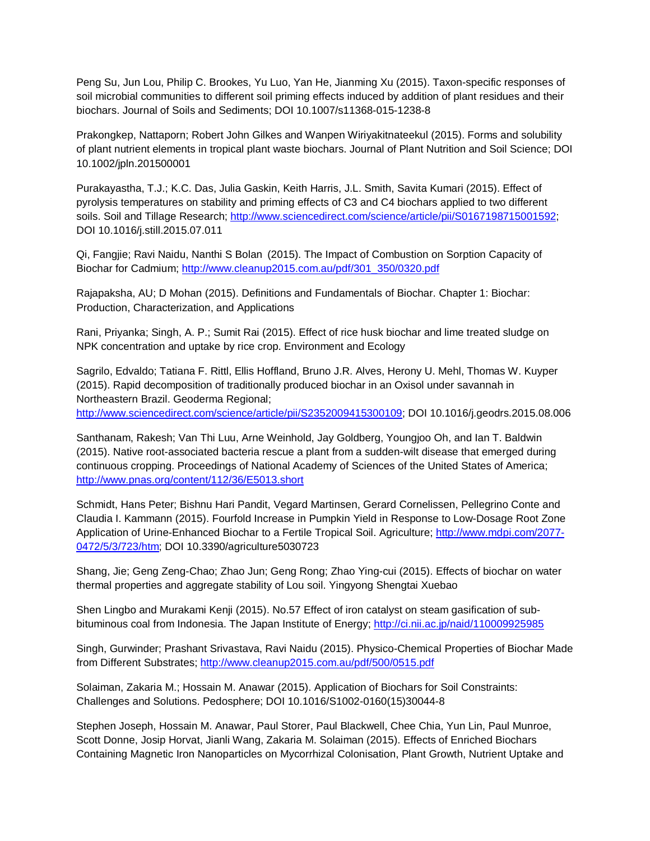Peng Su, Jun Lou, Philip C. Brookes, Yu Luo, Yan He, Jianming Xu (2015). Taxon-specific responses of soil microbial communities to different soil priming effects induced by addition of plant residues and their biochars. Journal of Soils and Sediments; DOI 10.1007/s11368-015-1238-8

Prakongkep, Nattaporn; Robert John Gilkes and Wanpen Wiriyakitnateekul (2015). Forms and solubility of plant nutrient elements in tropical plant waste biochars. Journal of Plant Nutrition and Soil Science; DOI 10.1002/jpln.201500001

Purakayastha, T.J.; K.C. Das, Julia Gaskin, Keith Harris, J.L. Smith, Savita Kumari (2015). Effect of pyrolysis temperatures on stability and priming effects of C3 and C4 biochars applied to two different soils. Soil and Tillage Research; [http://www.sciencedirect.com/science/article/pii/S0167198715001592;](http://www.sciencedirect.com/science/article/pii/S0167198715001592) DOI 10.1016/j.still.2015.07.011

Qi, Fangjie; Ravi Naidu, Nanthi S Bolan (2015). The Impact of Combustion on Sorption Capacity of Biochar for Cadmium; [http://www.cleanup2015.com.au/pdf/301\\_350/0320.pdf](http://www.cleanup2015.com.au/pdf/301_350/0320.pdf)

Rajapaksha, AU; D Mohan (2015). Definitions and Fundamentals of Biochar. Chapter 1: Biochar: Production, Characterization, and Applications

Rani, Priyanka; Singh, A. P.; Sumit Rai (2015). Effect of rice husk biochar and lime treated sludge on NPK concentration and uptake by rice crop. Environment and Ecology

Sagrilo, Edvaldo; Tatiana F. Rittl, Ellis Hoffland, Bruno J.R. Alves, Herony U. Mehl, Thomas W. Kuyper (2015). Rapid decomposition of traditionally produced biochar in an Oxisol under savannah in Northeastern Brazil. Geoderma Regional; [http://www.sciencedirect.com/science/article/pii/S2352009415300109;](http://www.sciencedirect.com/science/article/pii/S2352009415300109) DOI 10.1016/j.geodrs.2015.08.006

Santhanam, Rakesh; Van Thi Luu, Arne Weinhold, Jay Goldberg, Youngjoo Oh, and Ian T. Baldwin (2015). Native root-associated bacteria rescue a plant from a sudden-wilt disease that emerged during continuous cropping. Proceedings of National Academy of Sciences of the United States of America; <http://www.pnas.org/content/112/36/E5013.short>

Schmidt, Hans Peter; Bishnu Hari Pandit, Vegard Martinsen, Gerard Cornelissen, Pellegrino Conte and Claudia I. Kammann (2015). Fourfold Increase in Pumpkin Yield in Response to Low-Dosage Root Zone Application of Urine-Enhanced Biochar to a Fertile Tropical Soil. Agriculture; [http://www.mdpi.com/2077-](http://www.mdpi.com/2077-0472/5/3/723/htm) [0472/5/3/723/htm;](http://www.mdpi.com/2077-0472/5/3/723/htm) DOI 10.3390/agriculture5030723

Shang, Jie; Geng Zeng-Chao; Zhao Jun; Geng Rong; Zhao Ying-cui (2015). Effects of biochar on water thermal properties and aggregate stability of Lou soil. Yingyong Shengtai Xuebao

Shen Lingbo and Murakami Kenji (2015). No.57 Effect of iron catalyst on steam gasification of subbituminous coal from Indonesia. The Japan Institute of Energy;<http://ci.nii.ac.jp/naid/110009925985>

Singh, Gurwinder; Prashant Srivastava, Ravi Naidu (2015). Physico-Chemical Properties of Biochar Made from Different Substrates[; http://www.cleanup2015.com.au/pdf/500/0515.pdf](http://www.cleanup2015.com.au/pdf/500/0515.pdf)

Solaiman, Zakaria M.; Hossain M. Anawar (2015). Application of Biochars for Soil Constraints: Challenges and Solutions. Pedosphere; DOI 10.1016/S1002-0160(15)30044-8

Stephen Joseph, Hossain M. Anawar, Paul Storer, Paul Blackwell, Chee Chia, Yun Lin, Paul Munroe, Scott Donne, Josip Horvat, Jianli Wang, Zakaria M. Solaiman (2015). Effects of Enriched Biochars Containing Magnetic Iron Nanoparticles on Mycorrhizal Colonisation, Plant Growth, Nutrient Uptake and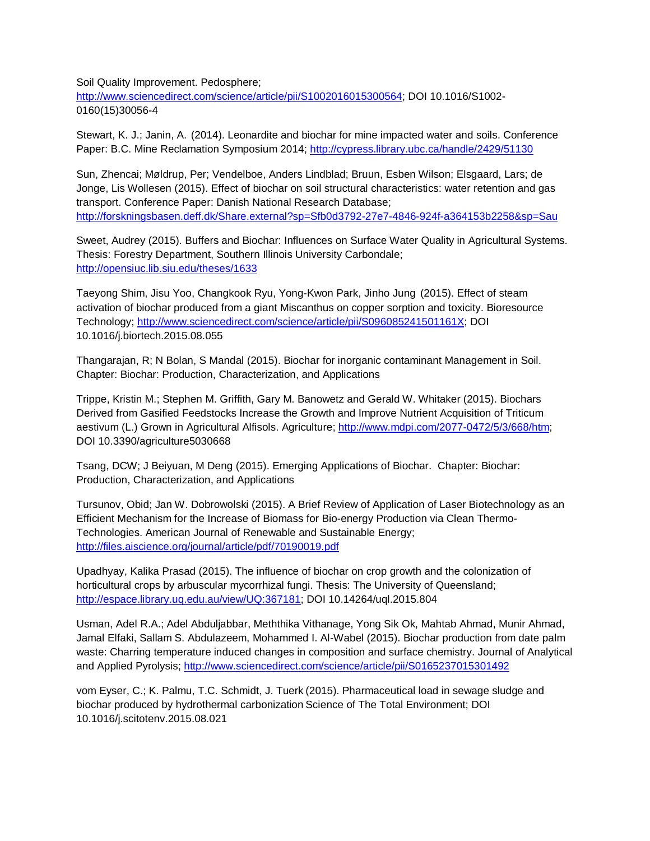Soil Quality Improvement. Pedosphere;

[http://www.sciencedirect.com/science/article/pii/S1002016015300564;](http://www.sciencedirect.com/science/article/pii/S1002016015300564) DOI 10.1016/S1002- 0160(15)30056-4

Stewart, K. J.; Janin, A. (2014). Leonardite and biochar for mine impacted water and soils. Conference Paper: B.C. Mine Reclamation Symposium 2014;<http://cypress.library.ubc.ca/handle/2429/51130>

Sun, Zhencai; Møldrup, Per; Vendelboe, Anders Lindblad; Bruun, Esben Wilson; Elsgaard, Lars; de Jonge, Lis Wollesen (2015). Effect of biochar on soil structural characteristics: water retention and gas transport. Conference Paper: Danish National Research Database; <http://forskningsbasen.deff.dk/Share.external?sp=Sfb0d3792-27e7-4846-924f-a364153b2258&sp=Sau>

Sweet, Audrey (2015). Buffers and Biochar: Influences on Surface Water Quality in Agricultural Systems. Thesis: Forestry Department, Southern Illinois University Carbondale; <http://opensiuc.lib.siu.edu/theses/1633>

Taeyong Shim, Jisu Yoo, Changkook Ryu, Yong-Kwon Park, Jinho Jung (2015). Effect of steam activation of biochar produced from a giant Miscanthus on copper sorption and toxicity. Bioresource Technology; [http://www.sciencedirect.com/science/article/pii/S096085241501161X;](http://www.sciencedirect.com/science/article/pii/S096085241501161X) DOI 10.1016/j.biortech.2015.08.055

Thangarajan, R; N Bolan, S Mandal (2015). Biochar for inorganic contaminant Management in Soil. Chapter: Biochar: Production, Characterization, and Applications

Trippe, Kristin M.; Stephen M. Griffith, Gary M. Banowetz and Gerald W. Whitaker (2015). Biochars Derived from Gasified Feedstocks Increase the Growth and Improve Nutrient Acquisition of Triticum aestivum (L.) Grown in Agricultural Alfisols. Agriculture[; http://www.mdpi.com/2077-0472/5/3/668/htm;](http://www.mdpi.com/2077-0472/5/3/668/htm) DOI 10.3390/agriculture5030668

Tsang, DCW; J Beiyuan, M Deng (2015). Emerging Applications of Biochar. Chapter: Biochar: Production, Characterization, and Applications

Tursunov, Obid; Jan W. Dobrowolski (2015). A Brief Review of Application of Laser Biotechnology as an Efficient Mechanism for the Increase of Biomass for Bio-energy Production via Clean Thermo-Technologies. American Journal of Renewable and Sustainable Energy; <http://files.aiscience.org/journal/article/pdf/70190019.pdf>

Upadhyay, Kalika Prasad (2015). The influence of biochar on crop growth and the colonization of horticultural crops by arbuscular mycorrhizal fungi. Thesis: The University of Queensland; [http://espace.library.uq.edu.au/view/UQ:367181;](http://espace.library.uq.edu.au/view/UQ:367181) DOI 10.14264/uql.2015.804

Usman, Adel R.A.; Adel Abduljabbar, Meththika Vithanage, Yong Sik Ok, Mahtab Ahmad, Munir Ahmad, Jamal Elfaki, Sallam S. Abdulazeem, Mohammed I. Al-Wabel (2015). Biochar production from date palm waste: Charring temperature induced changes in composition and surface chemistry. Journal of Analytical and Applied Pyrolysis;<http://www.sciencedirect.com/science/article/pii/S0165237015301492>

vom Eyser, C.; K. Palmu, T.C. Schmidt, J. Tuerk (2015). Pharmaceutical load in sewage sludge and biochar produced by hydrothermal carbonization Science of The Total Environment; DOI 10.1016/j.scitotenv.2015.08.021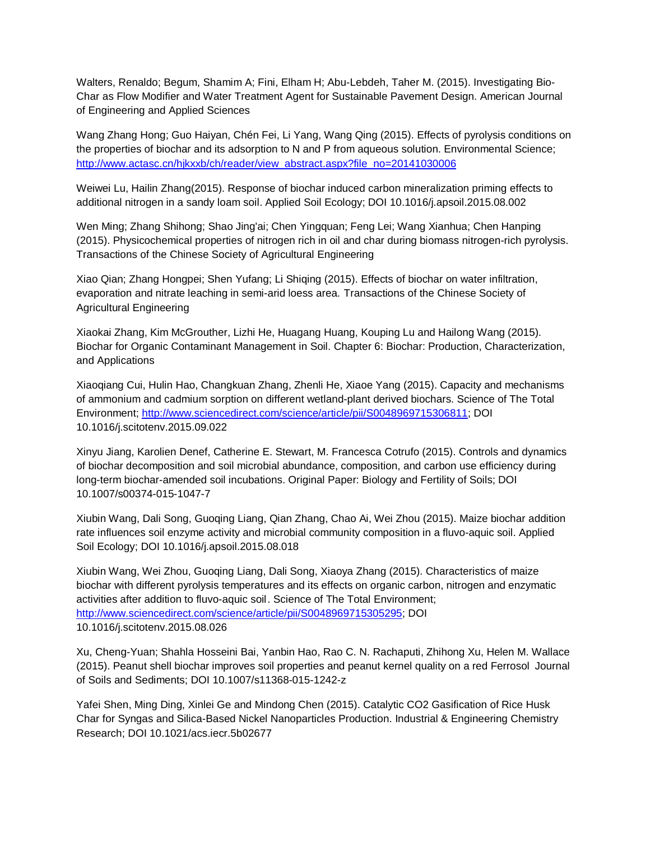Walters, Renaldo; Begum, Shamim A; Fini, Elham H; Abu-Lebdeh, Taher M. (2015). Investigating Bio-Char as Flow Modifier and Water Treatment Agent for Sustainable Pavement Design. American Journal of Engineering and Applied Sciences

Wang Zhang Hong; Guo Haiyan, Chén Fei, Li Yang, Wang Qing (2015). Effects of pyrolysis conditions on the properties of biochar and its adsorption to N and P from aqueous solution. Environmental Science; [http://www.actasc.cn/hjkxxb/ch/reader/view\\_abstract.aspx?file\\_no=20141030006](http://www.actasc.cn/hjkxxb/ch/reader/view_abstract.aspx?file_no=20141030006)

Weiwei Lu, Hailin Zhang(2015). Response of biochar induced carbon mineralization priming effects to additional nitrogen in a sandy loam soil. Applied Soil Ecology; DOI 10.1016/j.apsoil.2015.08.002

Wen Ming; Zhang Shihong; Shao Jing'ai; Chen Yingquan; Feng Lei; Wang Xianhua; Chen Hanping (2015). Physicochemical properties of nitrogen rich in oil and char during biomass nitrogen-rich pyrolysis. Transactions of the Chinese Society of Agricultural Engineering

Xiao Qian; Zhang Hongpei; Shen Yufang; Li Shiqing (2015). Effects of biochar on water infiltration, evaporation and nitrate leaching in semi-arid loess area. Transactions of the Chinese Society of Agricultural Engineering

Xiaokai Zhang, Kim McGrouther, Lizhi He, Huagang Huang, Kouping Lu and Hailong Wang (2015). Biochar for Organic Contaminant Management in Soil. Chapter 6: Biochar: Production, Characterization, and Applications

Xiaoqiang Cui, Hulin Hao, Changkuan Zhang, Zhenli He, Xiaoe Yang (2015). Capacity and mechanisms of ammonium and cadmium sorption on different wetland-plant derived biochars. Science of The Total Environment; [http://www.sciencedirect.com/science/article/pii/S0048969715306811;](http://www.sciencedirect.com/science/article/pii/S0048969715306811) DOI 10.1016/j.scitotenv.2015.09.022

Xinyu Jiang, Karolien Denef, Catherine E. Stewart, M. Francesca Cotrufo (2015). Controls and dynamics of biochar decomposition and soil microbial abundance, composition, and carbon use efficiency during long-term biochar-amended soil incubations. Original Paper: Biology and Fertility of Soils; DOI 10.1007/s00374-015-1047-7

Xiubin Wang, Dali Song, Guoqing Liang, Qian Zhang, Chao Ai, Wei Zhou (2015). Maize biochar addition rate influences soil enzyme activity and microbial community composition in a fluvo-aquic soil. Applied Soil Ecology; DOI 10.1016/j.apsoil.2015.08.018

Xiubin Wang, Wei Zhou, Guoqing Liang, Dali Song, Xiaoya Zhang (2015). Characteristics of maize biochar with different pyrolysis temperatures and its effects on organic carbon, nitrogen and enzymatic activities after addition to fluvo-aquic soil. Science of The Total Environment; [http://www.sciencedirect.com/science/article/pii/S0048969715305295;](http://www.sciencedirect.com/science/article/pii/S0048969715305295) DOI 10.1016/j.scitotenv.2015.08.026

Xu, Cheng-Yuan; Shahla Hosseini Bai, Yanbin Hao, Rao C. N. Rachaputi, Zhihong Xu, Helen M. Wallace (2015). Peanut shell biochar improves soil properties and peanut kernel quality on a red Ferrosol Journal of Soils and Sediments; DOI 10.1007/s11368-015-1242-z

Yafei Shen, Ming Ding, Xinlei Ge and Mindong Chen (2015). Catalytic CO2 Gasification of Rice Husk Char for Syngas and Silica-Based Nickel Nanoparticles Production. Industrial & Engineering Chemistry Research; DOI 10.1021/acs.iecr.5b02677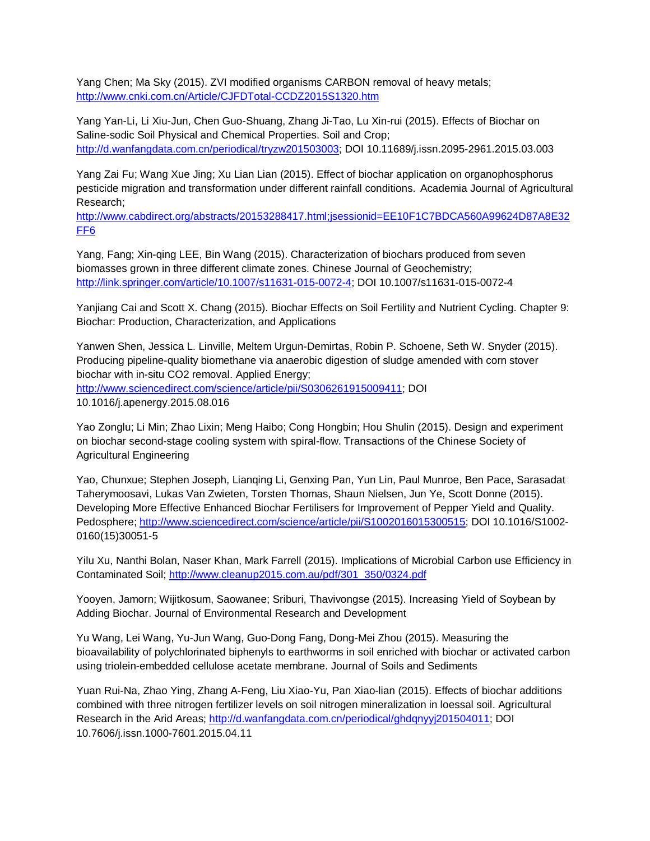Yang Chen; Ma Sky (2015). ZVI modified organisms CARBON removal of heavy metals; <http://www.cnki.com.cn/Article/CJFDTotal-CCDZ2015S1320.htm>

Yang Yan-Li, Li Xiu-Jun, Chen Guo-Shuang, Zhang Ji-Tao, Lu Xin-rui (2015). Effects of Biochar on Saline-sodic Soil Physical and Chemical Properties. Soil and Crop; [http://d.wanfangdata.com.cn/periodical/tryzw201503003;](http://d.wanfangdata.com.cn/periodical/tryzw201503003) DOI 10.11689/j.issn.2095-2961.2015.03.003

Yang Zai Fu; Wang Xue Jing; Xu Lian Lian (2015). Effect of biochar application on organophosphorus pesticide migration and transformation under different rainfall conditions. Academia Journal of Agricultural Research;

[http://www.cabdirect.org/abstracts/20153288417.html;jsessionid=EE10F1C7BDCA560A99624D87A8E32](http://www.cabdirect.org/abstracts/20153288417.html;jsessionid=EE10F1C7BDCA560A99624D87A8E32FF6) [FF6](http://www.cabdirect.org/abstracts/20153288417.html;jsessionid=EE10F1C7BDCA560A99624D87A8E32FF6)

Yang, Fang; Xin-qing LEE, Bin Wang (2015). Characterization of biochars produced from seven biomasses grown in three different climate zones. Chinese Journal of Geochemistry; [http://link.springer.com/article/10.1007/s11631-015-0072-4;](http://link.springer.com/article/10.1007/s11631-015-0072-4) DOI 10.1007/s11631-015-0072-4

Yanjiang Cai and Scott X. Chang (2015). Biochar Effects on Soil Fertility and Nutrient Cycling. Chapter 9: Biochar: Production, Characterization, and Applications

Yanwen Shen, Jessica L. Linville, Meltem Urgun-Demirtas, Robin P. Schoene, Seth W. Snyder (2015). Producing pipeline-quality biomethane via anaerobic digestion of sludge amended with corn stover biochar with in-situ CO2 removal. Applied Energy; [http://www.sciencedirect.com/science/article/pii/S0306261915009411;](http://www.sciencedirect.com/science/article/pii/S0306261915009411) DOI 10.1016/j.apenergy.2015.08.016

Yao Zonglu; Li Min; Zhao Lixin; Meng Haibo; Cong Hongbin; Hou Shulin (2015). Design and experiment on biochar second-stage cooling system with spiral-flow. Transactions of the Chinese Society of Agricultural Engineering

Yao, Chunxue; Stephen Joseph, Lianqing Li, Genxing Pan, Yun Lin, Paul Munroe, Ben Pace, Sarasadat Taherymoosavi, Lukas Van Zwieten, Torsten Thomas, Shaun Nielsen, Jun Ye, Scott Donne (2015). Developing More Effective Enhanced Biochar Fertilisers for Improvement of Pepper Yield and Quality. Pedosphere; [http://www.sciencedirect.com/science/article/pii/S1002016015300515;](http://www.sciencedirect.com/science/article/pii/S1002016015300515) DOI 10.1016/S1002- 0160(15)30051-5

Yilu Xu, Nanthi Bolan, Naser Khan, Mark Farrell (2015). Implications of Microbial Carbon use Efficiency in Contaminated Soil; [http://www.cleanup2015.com.au/pdf/301\\_350/0324.pdf](http://www.cleanup2015.com.au/pdf/301_350/0324.pdf)

Yooyen, Jamorn; Wijitkosum, Saowanee; Sriburi, Thavivongse (2015). Increasing Yield of Soybean by Adding Biochar. Journal of Environmental Research and Development

Yu Wang, Lei Wang, Yu-Jun Wang, Guo-Dong Fang, Dong-Mei Zhou (2015). Measuring the bioavailability of polychlorinated biphenyls to earthworms in soil enriched with biochar or activated carbon using triolein-embedded cellulose acetate membrane. Journal of Soils and Sediments

Yuan Rui-Na, Zhao Ying, Zhang A-Feng, Liu Xiao-Yu, Pan Xiao-lian (2015). Effects of biochar additions combined with three nitrogen fertilizer levels on soil nitrogen mineralization in loessal soil. Agricultural Research in the Arid Areas; [http://d.wanfangdata.com.cn/periodical/ghdqnyyj201504011;](http://d.wanfangdata.com.cn/periodical/ghdqnyyj201504011) DOI 10.7606/j.issn.1000-7601.2015.04.11